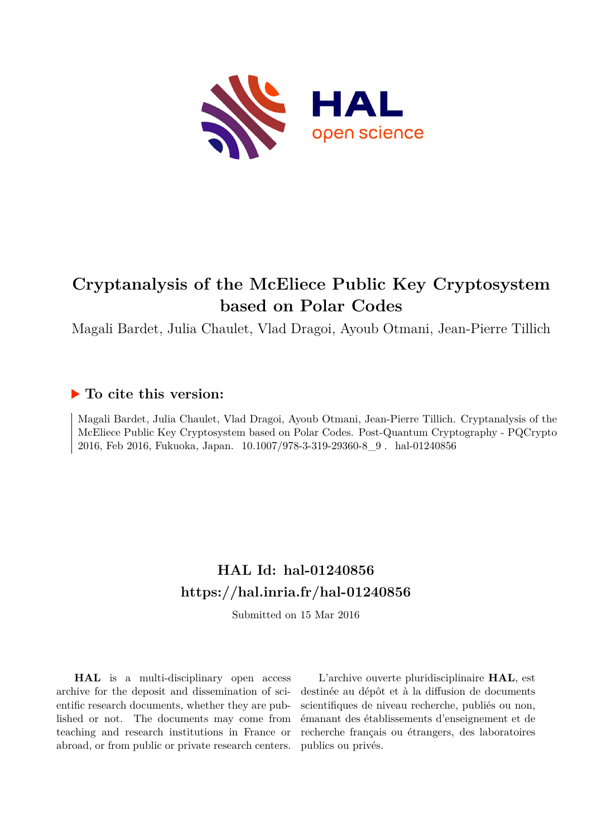

# **Cryptanalysis of the McEliece Public Key Cryptosystem based on Polar Codes**

Magali Bardet, Julia Chaulet, Vlad Dragoi, Ayoub Otmani, Jean-Pierre Tillich

## **To cite this version:**

Magali Bardet, Julia Chaulet, Vlad Dragoi, Ayoub Otmani, Jean-Pierre Tillich. Cryptanalysis of the McEliece Public Key Cryptosystem based on Polar Codes. Post-Quantum Cryptography - PQCrypto 2016, Feb 2016, Fukuoka, Japan. 10.1007/978-3-319-29360-8\_9. hal-01240856

# **HAL Id: hal-01240856 <https://hal.inria.fr/hal-01240856>**

Submitted on 15 Mar 2016

**HAL** is a multi-disciplinary open access archive for the deposit and dissemination of scientific research documents, whether they are published or not. The documents may come from teaching and research institutions in France or abroad, or from public or private research centers.

L'archive ouverte pluridisciplinaire **HAL**, est destinée au dépôt et à la diffusion de documents scientifiques de niveau recherche, publiés ou non, émanant des établissements d'enseignement et de recherche français ou étrangers, des laboratoires publics ou privés.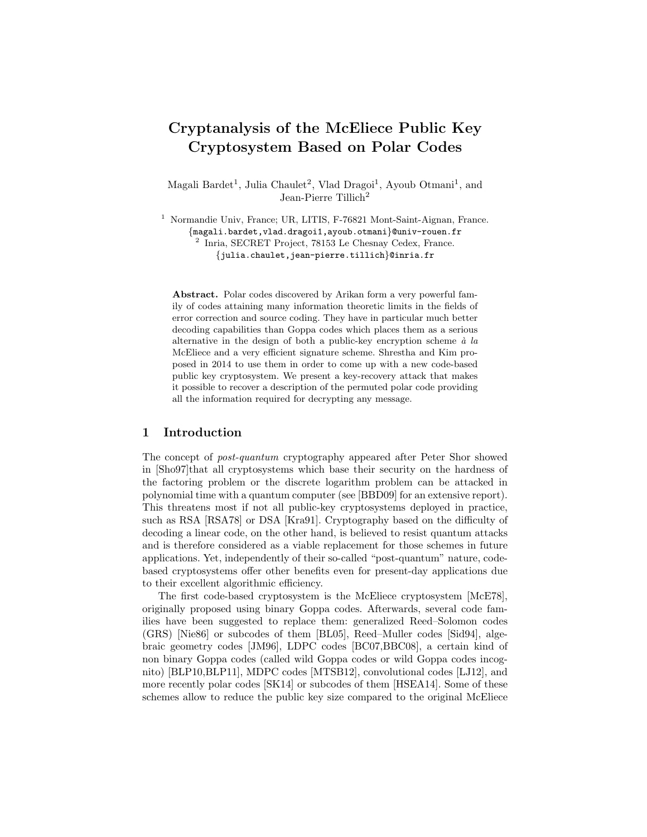## Cryptanalysis of the McEliece Public Key Cryptosystem Based on Polar Codes

Magali Bardet<sup>1</sup>, Julia Chaulet<sup>2</sup>, Vlad Dragoi<sup>1</sup>, Ayoub Otmani<sup>1</sup>, and Jean-Pierre Tillich<sup>2</sup>

<sup>1</sup> Normandie Univ, France; UR, LITIS, F-76821 Mont-Saint-Aignan, France. {magali.bardet,vlad.dragoi1,ayoub.otmani}@univ-rouen.fr 2 Inria, SECRET Project, 78153 Le Chesnay Cedex, France. {julia.chaulet,jean-pierre.tillich}@inria.fr

Abstract. Polar codes discovered by Arikan form a very powerful family of codes attaining many information theoretic limits in the fields of error correction and source coding. They have in particular much better decoding capabilities than Goppa codes which places them as a serious alternative in the design of both a public-key encryption scheme  $\dot{a}$  la McEliece and a very efficient signature scheme. Shrestha and Kim proposed in 2014 to use them in order to come up with a new code-based public key cryptosystem. We present a key-recovery attack that makes it possible to recover a description of the permuted polar code providing all the information required for decrypting any message.

## 1 Introduction

The concept of post-quantum cryptography appeared after Peter Shor showed in [Sho97]that all cryptosystems which base their security on the hardness of the factoring problem or the discrete logarithm problem can be attacked in polynomial time with a quantum computer (see [BBD09] for an extensive report). This threatens most if not all public-key cryptosystems deployed in practice, such as RSA [RSA78] or DSA [Kra91]. Cryptography based on the difficulty of decoding a linear code, on the other hand, is believed to resist quantum attacks and is therefore considered as a viable replacement for those schemes in future applications. Yet, independently of their so-called "post-quantum" nature, codebased cryptosystems offer other benefits even for present-day applications due to their excellent algorithmic efficiency.

The first code-based cryptosystem is the McEliece cryptosystem [McE78], originally proposed using binary Goppa codes. Afterwards, several code families have been suggested to replace them: generalized Reed–Solomon codes (GRS) [Nie86] or subcodes of them [BL05], Reed–Muller codes [Sid94], algebraic geometry codes [JM96], LDPC codes [BC07,BBC08], a certain kind of non binary Goppa codes (called wild Goppa codes or wild Goppa codes incognito) [BLP10,BLP11], MDPC codes [MTSB12], convolutional codes [LJ12], and more recently polar codes [SK14] or subcodes of them [HSEA14]. Some of these schemes allow to reduce the public key size compared to the original McEliece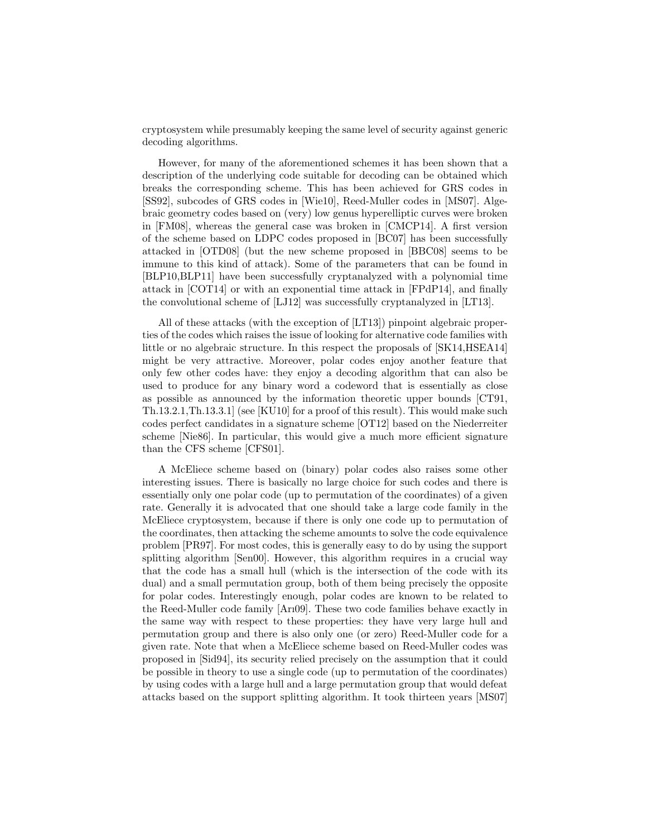cryptosystem while presumably keeping the same level of security against generic decoding algorithms.

However, for many of the aforementioned schemes it has been shown that a description of the underlying code suitable for decoding can be obtained which breaks the corresponding scheme. This has been achieved for GRS codes in [SS92], subcodes of GRS codes in [Wie10], Reed-Muller codes in [MS07]. Algebraic geometry codes based on (very) low genus hyperelliptic curves were broken in [FM08], whereas the general case was broken in [CMCP14]. A first version of the scheme based on LDPC codes proposed in [BC07] has been successfully attacked in [OTD08] (but the new scheme proposed in [BBC08] seems to be immune to this kind of attack). Some of the parameters that can be found in [BLP10,BLP11] have been successfully cryptanalyzed with a polynomial time attack in [COT14] or with an exponential time attack in [FPdP14], and finally the convolutional scheme of [LJ12] was successfully cryptanalyzed in [LT13].

All of these attacks (with the exception of [LT13]) pinpoint algebraic properties of the codes which raises the issue of looking for alternative code families with little or no algebraic structure. In this respect the proposals of [SK14,HSEA14] might be very attractive. Moreover, polar codes enjoy another feature that only few other codes have: they enjoy a decoding algorithm that can also be used to produce for any binary word a codeword that is essentially as close as possible as announced by the information theoretic upper bounds [CT91, Th.13.2.1,Th.13.3.1] (see [KU10] for a proof of this result). This would make such codes perfect candidates in a signature scheme [OT12] based on the Niederreiter scheme [Nie86]. In particular, this would give a much more efficient signature than the CFS scheme [CFS01].

A McEliece scheme based on (binary) polar codes also raises some other interesting issues. There is basically no large choice for such codes and there is essentially only one polar code (up to permutation of the coordinates) of a given rate. Generally it is advocated that one should take a large code family in the McEliece cryptosystem, because if there is only one code up to permutation of the coordinates, then attacking the scheme amounts to solve the code equivalence problem [PR97]. For most codes, this is generally easy to do by using the support splitting algorithm [Sen00]. However, this algorithm requires in a crucial way that the code has a small hull (which is the intersection of the code with its dual) and a small permutation group, both of them being precisely the opposite for polar codes. Interestingly enough, polar codes are known to be related to the Reed-Muller code family [Arı09]. These two code families behave exactly in the same way with respect to these properties: they have very large hull and permutation group and there is also only one (or zero) Reed-Muller code for a given rate. Note that when a McEliece scheme based on Reed-Muller codes was proposed in [Sid94], its security relied precisely on the assumption that it could be possible in theory to use a single code (up to permutation of the coordinates) by using codes with a large hull and a large permutation group that would defeat attacks based on the support splitting algorithm. It took thirteen years [MS07]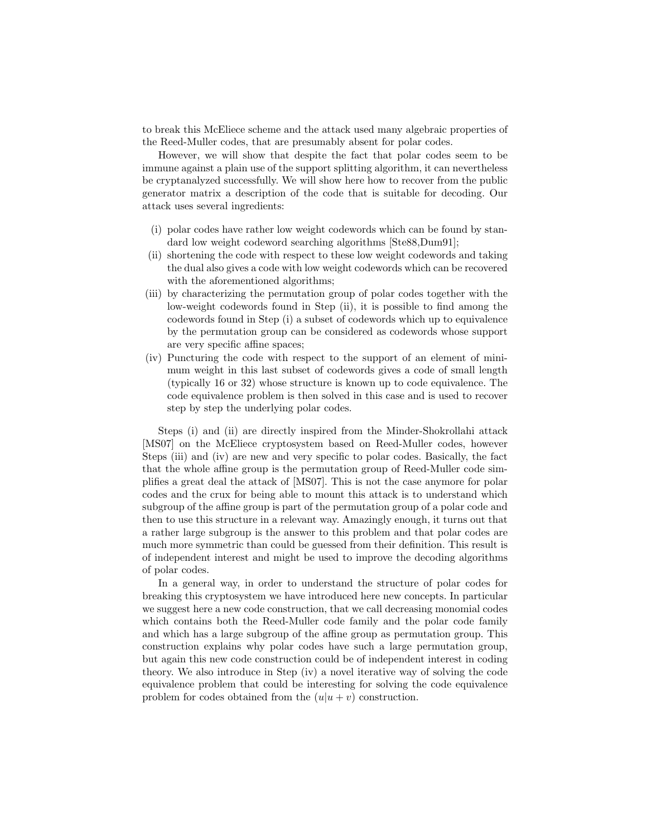to break this McEliece scheme and the attack used many algebraic properties of the Reed-Muller codes, that are presumably absent for polar codes.

However, we will show that despite the fact that polar codes seem to be immune against a plain use of the support splitting algorithm, it can nevertheless be cryptanalyzed successfully. We will show here how to recover from the public generator matrix a description of the code that is suitable for decoding. Our attack uses several ingredients:

- (i) polar codes have rather low weight codewords which can be found by standard low weight codeword searching algorithms [Ste88,Dum91];
- (ii) shortening the code with respect to these low weight codewords and taking the dual also gives a code with low weight codewords which can be recovered with the aforementioned algorithms;
- (iii) by characterizing the permutation group of polar codes together with the low-weight codewords found in Step (ii), it is possible to find among the codewords found in Step (i) a subset of codewords which up to equivalence by the permutation group can be considered as codewords whose support are very specific affine spaces;
- (iv) Puncturing the code with respect to the support of an element of minimum weight in this last subset of codewords gives a code of small length (typically 16 or 32) whose structure is known up to code equivalence. The code equivalence problem is then solved in this case and is used to recover step by step the underlying polar codes.

Steps (i) and (ii) are directly inspired from the Minder-Shokrollahi attack [MS07] on the McEliece cryptosystem based on Reed-Muller codes, however Steps (iii) and (iv) are new and very specific to polar codes. Basically, the fact that the whole affine group is the permutation group of Reed-Muller code simplifies a great deal the attack of [MS07]. This is not the case anymore for polar codes and the crux for being able to mount this attack is to understand which subgroup of the affine group is part of the permutation group of a polar code and then to use this structure in a relevant way. Amazingly enough, it turns out that a rather large subgroup is the answer to this problem and that polar codes are much more symmetric than could be guessed from their definition. This result is of independent interest and might be used to improve the decoding algorithms of polar codes.

In a general way, in order to understand the structure of polar codes for breaking this cryptosystem we have introduced here new concepts. In particular we suggest here a new code construction, that we call decreasing monomial codes which contains both the Reed-Muller code family and the polar code family and which has a large subgroup of the affine group as permutation group. This construction explains why polar codes have such a large permutation group, but again this new code construction could be of independent interest in coding theory. We also introduce in Step (iv) a novel iterative way of solving the code equivalence problem that could be interesting for solving the code equivalence problem for codes obtained from the  $(u|u + v)$  construction.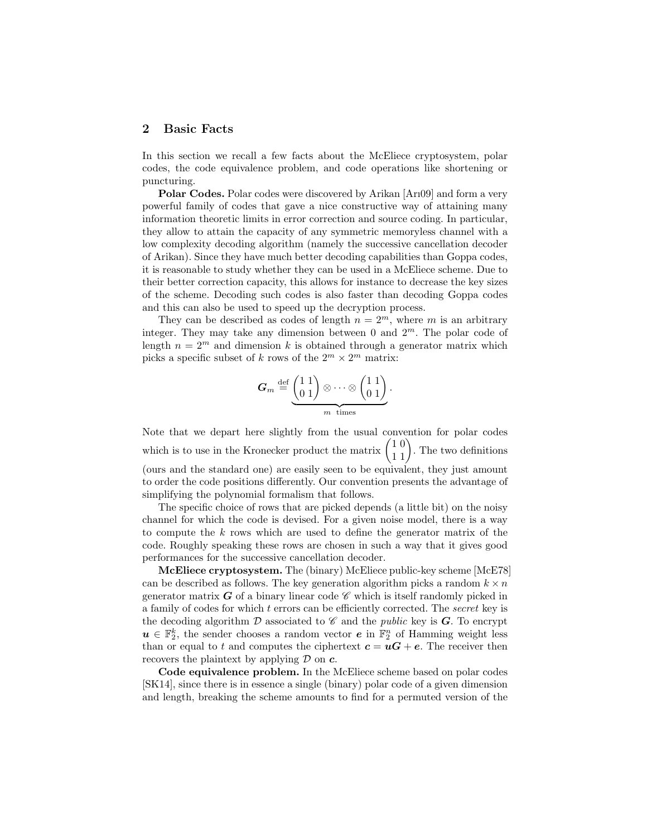## 2 Basic Facts

In this section we recall a few facts about the McEliece cryptosystem, polar codes, the code equivalence problem, and code operations like shortening or puncturing.

Polar Codes. Polar codes were discovered by Arikan [Arı09] and form a very powerful family of codes that gave a nice constructive way of attaining many information theoretic limits in error correction and source coding. In particular, they allow to attain the capacity of any symmetric memoryless channel with a low complexity decoding algorithm (namely the successive cancellation decoder of Arikan). Since they have much better decoding capabilities than Goppa codes, it is reasonable to study whether they can be used in a McEliece scheme. Due to their better correction capacity, this allows for instance to decrease the key sizes of the scheme. Decoding such codes is also faster than decoding Goppa codes and this can also be used to speed up the decryption process.

They can be described as codes of length  $n = 2^m$ , where m is an arbitrary integer. They may take any dimension between 0 and  $2<sup>m</sup>$ . The polar code of length  $n = 2^m$  and dimension k is obtained through a generator matrix which picks a specific subset of k rows of the  $2^m \times 2^m$  matrix:

$$
G_m \stackrel{\text{def}}{=} \underbrace{\begin{pmatrix} 1 & 1 \\ 0 & 1 \end{pmatrix} \otimes \cdots \otimes \begin{pmatrix} 1 & 1 \\ 0 & 1 \end{pmatrix}}_{m \text{ times}}.
$$

Note that we depart here slightly from the usual convention for polar codes which is to use in the Kronecker product the matrix  $\begin{pmatrix} 1 & 0 \\ 1 & 1 \end{pmatrix}$ . The two definitions (ours and the standard one) are easily seen to be equivalent, they just amount to order the code positions differently. Our convention presents the advantage of simplifying the polynomial formalism that follows.

The specific choice of rows that are picked depends (a little bit) on the noisy channel for which the code is devised. For a given noise model, there is a way to compute the k rows which are used to define the generator matrix of the code. Roughly speaking these rows are chosen in such a way that it gives good performances for the successive cancellation decoder.

McEliece cryptosystem. The (binary) McEliece public-key scheme [McE78] can be described as follows. The key generation algorithm picks a random  $k \times n$ generator matrix  $G$  of a binary linear code  $\mathscr C$  which is itself randomly picked in a family of codes for which t errors can be efficiently corrected. The secret key is the decoding algorithm  $\mathcal D$  associated to  $\mathscr C$  and the *public* key is  $G$ . To encrypt  $u \in \mathbb{F}_2^k$ , the sender chooses a random vector  $e$  in  $\mathbb{F}_2^n$  of Hamming weight less than or equal to t and computes the ciphertext  $c = uG + e$ . The receiver then recovers the plaintext by applying  $\mathcal D$  on  $\mathbf c$ .

Code equivalence problem. In the McEliece scheme based on polar codes [SK14], since there is in essence a single (binary) polar code of a given dimension and length, breaking the scheme amounts to find for a permuted version of the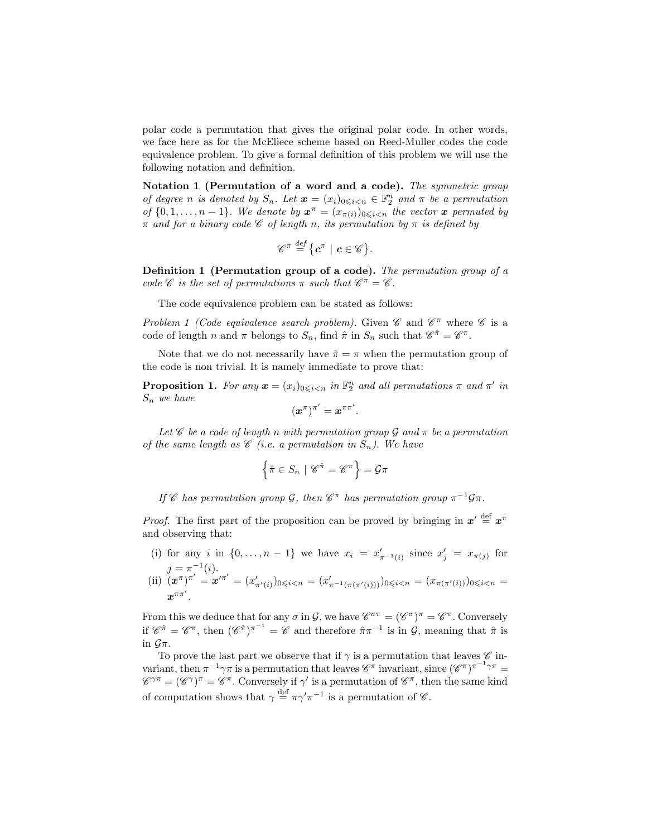polar code a permutation that gives the original polar code. In other words, we face here as for the McEliece scheme based on Reed-Muller codes the code equivalence problem. To give a formal definition of this problem we will use the following notation and definition.

Notation 1 (Permutation of a word and a code). The symmetric group of degree n is denoted by  $S_n$ . Let  $\boldsymbol{x} = (x_i)_{0 \leq i \leq n} \in \mathbb{F}_2^n$  and  $\pi$  be a permutation of  $\{0, 1, \ldots, n-1\}$ . We denote by  $\mathbf{x}^{\pi} = (x_{\pi(i)})_{0 \leq i \leq n}$  the vector  $\mathbf{x}$  permuted by  $\pi$  and for a binary code  $\mathscr C$  of length n, its permutation by  $\pi$  is defined by

$$
\mathscr{C}^{\pi} \stackrel{\text{def}}{=} \big\{ \mathbf{c}^{\pi} \mid \mathbf{c} \in \mathscr{C} \big\}.
$$

Definition 1 (Permutation group of a code). The permutation group of a code  $\mathscr C$  is the set of permutations  $\pi$  such that  $\mathscr C^{\pi} = \mathscr C$ .

The code equivalence problem can be stated as follows:

Problem 1 (Code equivalence search problem). Given  $\mathscr C$  and  $\mathscr C^{\pi}$  where  $\mathscr C$  is a code of length n and  $\pi$  belongs to  $S_n$ , find  $\hat{\pi}$  in  $S_n$  such that  $\mathscr{C}^{\hat{\pi}} = \mathscr{C}^{\pi}$ .

Note that we do not necessarily have  $\hat{\pi} = \pi$  when the permutation group of the code is non trivial. It is namely immediate to prove that:

**Proposition 1.** For any  $x = (x_i)_{0 \leq i \leq n}$  in  $\mathbb{F}_2^n$  and all permutations  $\pi$  and  $\pi'$  in  $S_n$  we have

$$
(\boldsymbol{x}^\pi)^{\pi'} = \boldsymbol{x}^{\pi\pi'}.
$$

Let  $\mathscr C$  be a code of length n with permutation group  $\mathcal G$  and  $\pi$  be a permutation of the same length as  $\mathscr C$  (i.e. a permutation in  $S_n$ ). We have

$$
\left\{\hat{\pi} \in S_n \mid \mathscr{C}^{\hat{\pi}} = \mathscr{C}^{\pi}\right\} = \mathcal{G}\pi
$$

If  $\mathscr C$  has permutation group  $\mathcal G$ , then  $\mathscr C^{\pi}$  has permutation group  $\pi^{-1}\mathcal G\pi$ .

*Proof.* The first part of the proposition can be proved by bringing in  $x' \stackrel{\text{def}}{=} x^{\pi}$ and observing that:

- (i) for any i in  $\{0,\ldots,n-1\}$  we have  $x_i = x'_{\pi^{-1}(i)}$  since  $x'_j = x_{\pi(j)}$  for  $j = \pi^{-1}(i)$ .
- (ii)  $(\boldsymbol{x}^\pi)^\pi' = \boldsymbol{x}'^{\pi'} = (x'_{\pi'(i)})_{0 \leq i < n} = (x'_{\pi^{-1}(\pi(\pi'(i)))})_{0 \leq i < n} = (x_{\pi(\pi'(i))})_{0 \leq i < n} = (x'_{\pi(\pi'(i))})_{0 \leq i < n} = (x'_{\pi(\pi'(i))})_{0 \leq i < n} = (x'_{\pi(\pi'(i))})_{0 \leq i < n} = (x'_{\pi(\pi'(i))})_{0 \leq i < n} = (x'_{\pi(\pi'(i))})_{0 \leq i < n} =$  $\boldsymbol{x}^{\pi\pi'}$  .

From this we deduce that for any  $\sigma$  in  $\mathcal{G}$ , we have  $\mathscr{C}^{\sigma\pi} = (\mathscr{C}^{\sigma})^{\pi} = \mathscr{C}^{\pi}$ . Conversely if  $\mathscr{C}^{\hat{\pi}} = \mathscr{C}^{\pi}$ , then  $(\mathscr{C}^{\hat{\pi}})^{\pi^{-1}} = \mathscr{C}$  and therefore  $\hat{\pi}\pi^{-1}$  is in  $\mathcal{G}$ , meaning that  $\hat{\pi}$  is in  $\mathcal{G}\pi$ .

To prove the last part we observe that if  $\gamma$  is a permutation that leaves  $\mathscr C$  invariant, then  $\pi^{-1}\gamma\pi$  is a permutation that leaves  $\mathscr{C}^{\pi}$  invariant, since  $(\mathscr{C}^{\pi})^{\pi^{-1}\gamma\pi}$  $\mathscr{C}^{\gamma\pi} = (\mathscr{C}^{\gamma})^{\pi} = \mathscr{C}^{\pi}$ . Conversely if  $\gamma'$  is a permutation of  $\mathscr{C}^{\pi}$ , then the same kind of computation shows that  $\gamma \stackrel{\text{def}}{=} \pi \gamma' \pi^{-1}$  is a permutation of  $\mathscr{C}$ .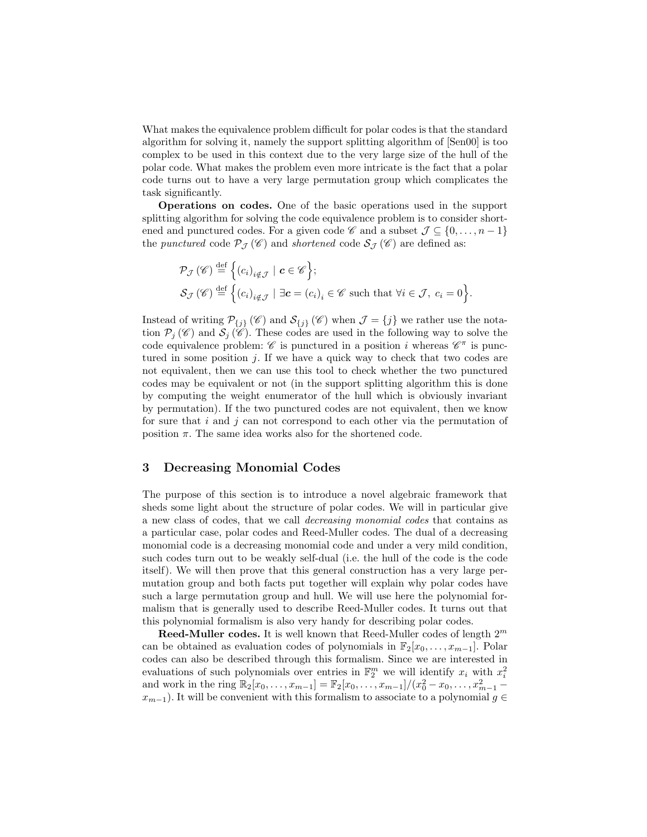What makes the equivalence problem difficult for polar codes is that the standard algorithm for solving it, namely the support splitting algorithm of [Sen00] is too complex to be used in this context due to the very large size of the hull of the polar code. What makes the problem even more intricate is the fact that a polar code turns out to have a very large permutation group which complicates the task significantly.

Operations on codes. One of the basic operations used in the support splitting algorithm for solving the code equivalence problem is to consider shortened and punctured codes. For a given code  $\mathscr{C}$  and a subset  $\mathcal{J} \subseteq \{0, \ldots, n-1\}$ the punctured code  $\mathcal{P}_{\mathcal{J}}(\mathscr{C})$  and shortened code  $\mathcal{S}_{\mathcal{J}}(\mathscr{C})$  are defined as:

$$
\mathcal{P}_{\mathcal{J}}(\mathscr{C}) \stackrel{\text{def}}{=} \Big\{ (c_i)_{i \notin \mathcal{J}} \mid \mathbf{c} \in \mathscr{C} \Big\};
$$
  

$$
\mathcal{S}_{\mathcal{J}}(\mathscr{C}) \stackrel{\text{def}}{=} \Big\{ (c_i)_{i \notin \mathcal{J}} \mid \exists \mathbf{c} = (c_i)_i \in \mathscr{C} \text{ such that } \forall i \in \mathcal{J}, c_i = 0 \Big\}.
$$

Instead of writing  $\mathcal{P}_{\{j\}}(\mathscr{C})$  and  $\mathcal{S}_{\{j\}}(\mathscr{C})$  when  $\mathcal{J} = \{j\}$  we rather use the notation  $\mathcal{P}_j (\mathscr{C})$  and  $\mathcal{S}_j (\widetilde{\mathscr{C}})$ . These codes are used in the following way to solve the code equivalence problem:  $\mathscr C$  is punctured in a position i whereas  $\mathscr C^{\pi}$  is punctured in some position  $j$ . If we have a quick way to check that two codes are not equivalent, then we can use this tool to check whether the two punctured codes may be equivalent or not (in the support splitting algorithm this is done by computing the weight enumerator of the hull which is obviously invariant by permutation). If the two punctured codes are not equivalent, then we know for sure that  $i$  and  $j$  can not correspond to each other via the permutation of position  $\pi$ . The same idea works also for the shortened code.

### 3 Decreasing Monomial Codes

The purpose of this section is to introduce a novel algebraic framework that sheds some light about the structure of polar codes. We will in particular give a new class of codes, that we call decreasing monomial codes that contains as a particular case, polar codes and Reed-Muller codes. The dual of a decreasing monomial code is a decreasing monomial code and under a very mild condition, such codes turn out to be weakly self-dual (i.e. the hull of the code is the code itself). We will then prove that this general construction has a very large permutation group and both facts put together will explain why polar codes have such a large permutation group and hull. We will use here the polynomial formalism that is generally used to describe Reed-Muller codes. It turns out that this polynomial formalism is also very handy for describing polar codes.

**Reed-Muller codes.** It is well known that Reed-Muller codes of length  $2^m$ can be obtained as evaluation codes of polynomials in  $\mathbb{F}_2[x_0, \ldots, x_{m-1}]$ . Polar codes can also be described through this formalism. Since we are interested in evaluations of such polynomials over entries in  $\mathbb{F}_2^m$  we will identify  $x_i$  with  $x_i^2$ and work in the ring  $\mathbb{R}_2[x_0, \ldots, x_{m-1}] = \mathbb{F}_2[x_0, \ldots, x_{m-1}]/(x_0^2 - x_0, \ldots, x_{m-1}^2$  $x_{m-1}$ ). It will be convenient with this formalism to associate to a polynomial  $g \in$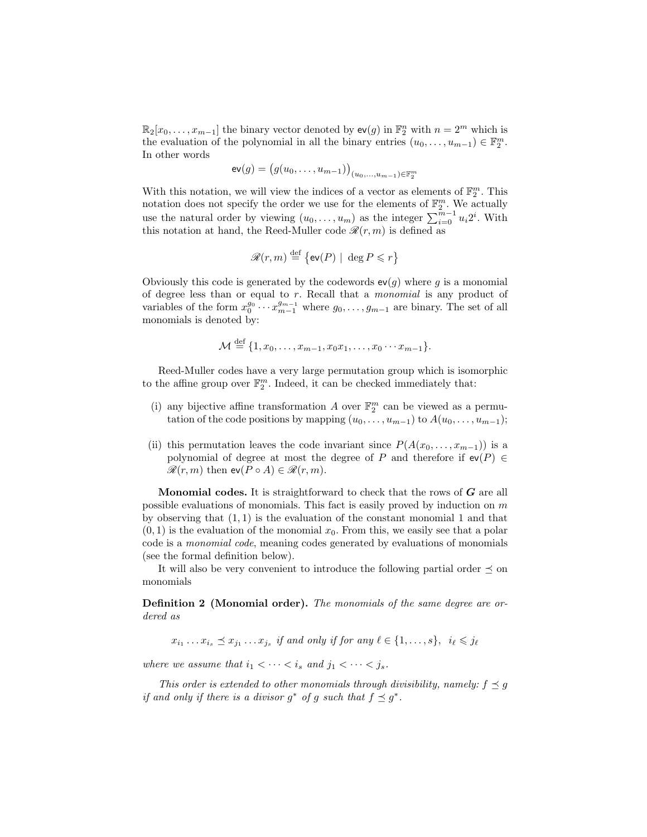$\mathbb{R}_2[x_0,\ldots,x_{m-1}]$  the binary vector denoted by  $ev(g)$  in  $\mathbb{F}_2^n$  with  $n=2^m$  which is the evaluation of the polynomial in all the binary entries  $(u_0, \ldots, u_{m-1}) \in \mathbb{F}_2^m$ . In other words

$$
\textnormal{ev}(g) = \big(g(u_0, \ldots, u_{m-1})\big)_{(u_0, \ldots, u_{m-1}) \in \mathbb{F}_2^m}
$$

With this notation, we will view the indices of a vector as elements of  $\mathbb{F}_2^m$ . This notation does not specify the order we use for the elements of  $\mathbb{F}_2^m$ . We actually use the natural order by viewing  $(u_0, \ldots, u_m)$  as the integer  $\sum_{i=0}^{m-1} u_i 2^i$ . With this notation at hand, the Reed-Muller code  $\mathcal{R}(r, m)$  is defined as

$$
\mathcal{R}(r,m) \stackrel{\text{def}}{=} \{ \text{ev}(P) \mid \deg P \leqslant r \}
$$

Obviously this code is generated by the codewords  $ev(g)$  where g is a monomial of degree less than or equal to  $r$ . Recall that a *monomial* is any product of variables of the form  $x_0^{g_0} \cdots x_{m-1}^{g_{m-1}}$  where  $g_0, \ldots, g_{m-1}$  are binary. The set of all monomials is denoted by:

$$
\mathcal{M} \stackrel{\text{def}}{=} \{1, x_0, \dots, x_{m-1}, x_0 x_1, \dots, x_0 \dots x_{m-1}\}.
$$

Reed-Muller codes have a very large permutation group which is isomorphic to the affine group over  $\mathbb{F}_2^m$ . Indeed, it can be checked immediately that:

- (i) any bijective affine transformation  $A$  over  $\mathbb{F}_2^m$  can be viewed as a permutation of the code positions by mapping  $(u_0, \ldots, u_{m-1})$  to  $A(u_0, \ldots, u_{m-1})$ ;
- (ii) this permutation leaves the code invariant since  $P(A(x_0, \ldots, x_{m-1}))$  is a polynomial of degree at most the degree of P and therefore if  $ev(P) \in$  $\mathcal{R}(r, m)$  then  $ev(P \circ A) \in \mathcal{R}(r, m)$ .

**Monomial codes.** It is straightforward to check that the rows of  $G$  are all possible evaluations of monomials. This fact is easily proved by induction on  $m$ by observing that  $(1, 1)$  is the evaluation of the constant monomial 1 and that  $(0, 1)$  is the evaluation of the monomial  $x<sub>0</sub>$ . From this, we easily see that a polar code is a monomial code, meaning codes generated by evaluations of monomials (see the formal definition below).

It will also be very convenient to introduce the following partial order  $\preceq$  on monomials

Definition 2 (Monomial order). The monomials of the same degree are ordered as

 $x_{i_1} \ldots x_{i_s} \preceq x_{j_1} \ldots x_{j_s}$  if and only if for any  $\ell \in \{1, \ldots, s\}, \ i_{\ell} \leqslant j_{\ell}$ 

where we assume that  $i_1 < \cdots < i_s$  and  $j_1 < \cdots < j_s$ .

This order is extended to other monomials through divisibility, namely:  $f \preceq g$ if and only if there is a divisor  $g^*$  of g such that  $f \preceq g^*$ .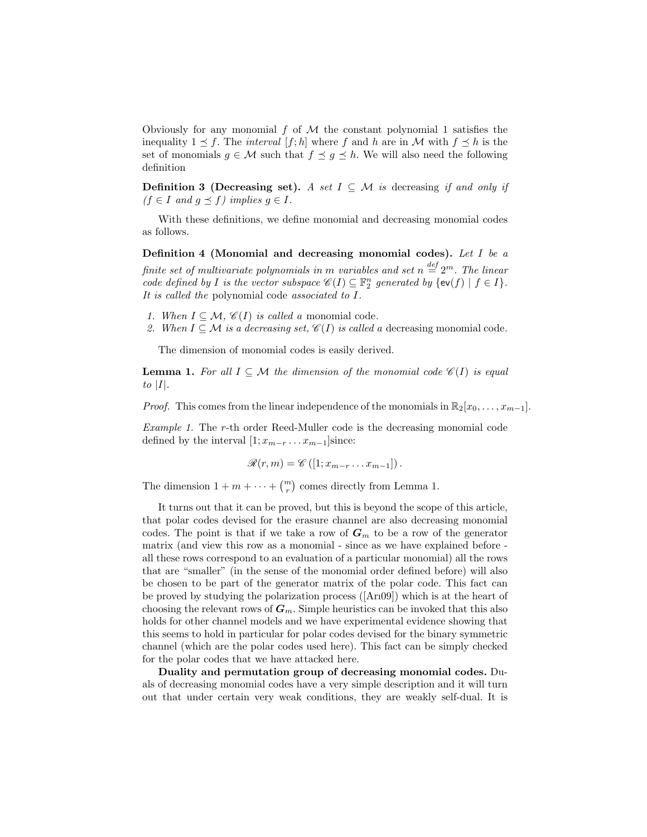Obviously for any monomial f of  $\mathcal M$  the constant polynomial 1 satisfies the inequality  $1 \leq f$ . The *interval*  $[f; h]$  where f and h are in M with  $f \leq h$  is the set of monomials  $g \in \mathcal{M}$  such that  $f \preceq g \preceq h$ . We will also need the following definition

**Definition 3 (Decreasing set).** A set  $I \subseteq \mathcal{M}$  is decreasing if and only if  $(f \in I \text{ and } g \preceq f) \text{ implies } g \in I.$ 

With these definitions, we define monomial and decreasing monomial codes as follows.

Definition 4 (Monomial and decreasing monomial codes). Let  $I$  be a finite set of multivariate polynomials in m variables and set  $n \stackrel{{\rm def}}{=} 2^m$ . The linear code defined by I is the vector subspace  $\mathscr{C}(I) \subseteq \mathbb{F}_2^n$  generated by  $\{ev(f) \mid f \in I\}$ . It is called the polynomial code associated to I.

- 1. When  $I \subseteq \mathcal{M}, \mathcal{C}(I)$  is called a monomial code.
- 2. When  $I \subseteq \mathcal{M}$  is a decreasing set,  $\mathcal{C}(I)$  is called a decreasing monomial code.

The dimension of monomial codes is easily derived.

**Lemma 1.** For all  $I \subseteq \mathcal{M}$  the dimension of the monomial code  $\mathscr{C}(I)$  is equal to  $|I|$ .

*Proof.* This comes from the linear independence of the monomials in  $\mathbb{R}_2[x_0, \ldots, x_{m-1}]$ .

Example 1. The r-th order Reed-Muller code is the decreasing monomial code defined by the interval  $[1; x_{m-r} \ldots x_{m-1}]$ since:

$$
\mathscr{R}(r,m) = \mathscr{C}\left([1; x_{m-r} \dots x_{m-1}]\right).
$$

The dimension  $1 + m + \cdots + {m \choose r}$  comes directly from Lemma 1.

It turns out that it can be proved, but this is beyond the scope of this article, that polar codes devised for the erasure channel are also decreasing monomial codes. The point is that if we take a row of  $G_m$  to be a row of the generator matrix (and view this row as a monomial - since as we have explained before all these rows correspond to an evaluation of a particular monomial) all the rows that are "smaller" (in the sense of the monomial order defined before) will also be chosen to be part of the generator matrix of the polar code. This fact can be proved by studying the polarization process ([Arı09]) which is at the heart of choosing the relevant rows of  $G_m$ . Simple heuristics can be invoked that this also holds for other channel models and we have experimental evidence showing that this seems to hold in particular for polar codes devised for the binary symmetric channel (which are the polar codes used here). This fact can be simply checked for the polar codes that we have attacked here.

Duality and permutation group of decreasing monomial codes. Duals of decreasing monomial codes have a very simple description and it will turn out that under certain very weak conditions, they are weakly self-dual. It is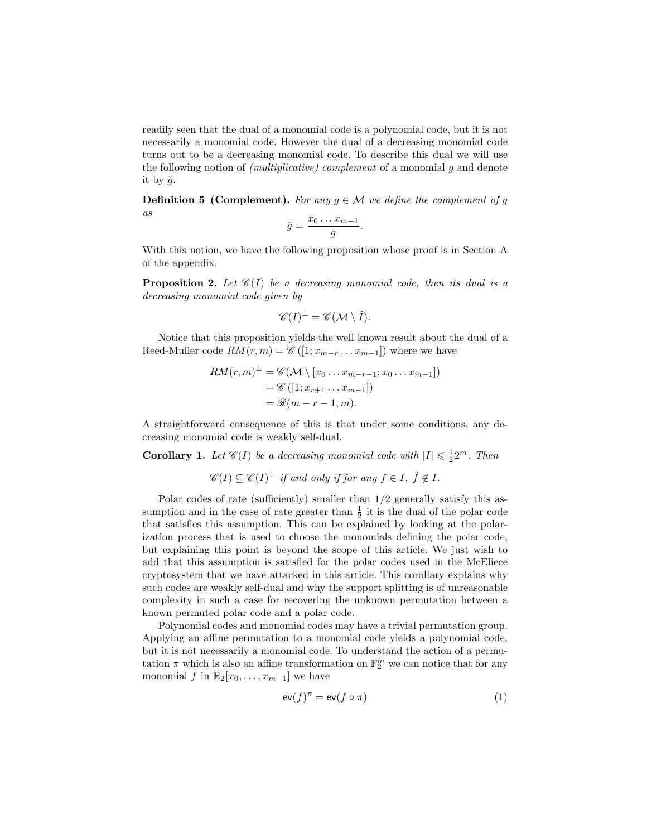readily seen that the dual of a monomial code is a polynomial code, but it is not necessarily a monomial code. However the dual of a decreasing monomial code turns out to be a decreasing monomial code. To describe this dual we will use the following notion of (multiplicative) complement of a monomial g and denote it by  $\check{g}$ .

**Definition 5 (Complement).** For any  $q \in \mathcal{M}$  we define the complement of q as

$$
\check{g} = \frac{x_0 \dots x_{m-1}}{g}
$$

.

With this notion, we have the following proposition whose proof is in Section A of the appendix.

**Proposition 2.** Let  $\mathscr{C}(I)$  be a decreasing monomial code, then its dual is a decreasing monomial code given by

$$
\mathscr{C}(I)^{\perp}=\mathscr{C}(\mathcal{M}\setminus\check{I}).
$$

Notice that this proposition yields the well known result about the dual of a Reed-Muller code  $RM(r, m) = \mathscr{C}\left([1; x_{m-r} \dots x_{m-1}]\right)$  where we have

$$
RM(r, m)^{\perp} = \mathscr{C}(\mathcal{M} \setminus [x_0 \dots x_{m-r-1}; x_0 \dots x_{m-1}])
$$
  
=  $\mathscr{C}([1; x_{r+1} \dots x_{m-1}])$   
=  $\mathscr{R}(m-r-1, m).$ 

A straightforward consequence of this is that under some conditions, any decreasing monomial code is weakly self-dual.

**Corollary 1.** Let  $\mathscr{C}(I)$  be a decreasing monomial code with  $|I| \leq \frac{1}{2}2^m$ . Then

 $\mathscr{C}(I) \subseteq \mathscr{C}(I)^{\perp}$  if and only if for any  $f \in I$ ,  $\check{f} \notin I$ .

Polar codes of rate (sufficiently) smaller than  $1/2$  generally satisfy this assumption and in the case of rate greater than  $\frac{1}{2}$  it is the dual of the polar code that satisfies this assumption. This can be explained by looking at the polarization process that is used to choose the monomials defining the polar code, but explaining this point is beyond the scope of this article. We just wish to add that this assumption is satisfied for the polar codes used in the McEliece cryptosystem that we have attacked in this article. This corollary explains why such codes are weakly self-dual and why the support splitting is of unreasonable complexity in such a case for recovering the unknown permutation between a known permuted polar code and a polar code.

Polynomial codes and monomial codes may have a trivial permutation group. Applying an affine permutation to a monomial code yields a polynomial code, but it is not necessarily a monomial code. To understand the action of a permutation  $\pi$  which is also an affine transformation on  $\mathbb{F}_2^m$  we can notice that for any monomial f in  $\mathbb{R}_2[x_0,\ldots,x_{m-1}]$  we have

$$
ev(f)^{\pi} = ev(f \circ \pi)
$$
 (1)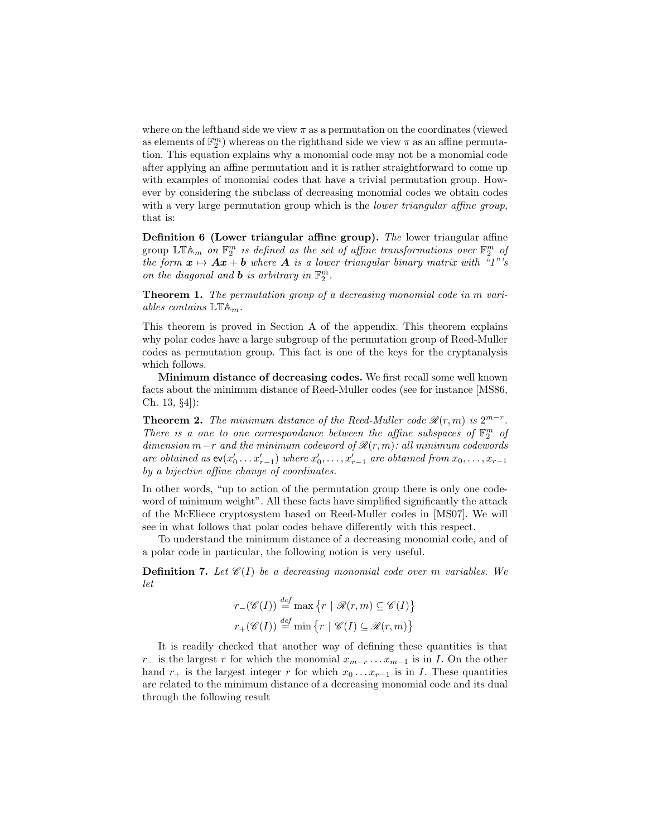where on the lefthand side we view  $\pi$  as a permutation on the coordinates (viewed as elements of  $\mathbb{F}_2^m$ ) whereas on the righthand side we view  $\pi$  as an affine permutation. This equation explains why a monomial code may not be a monomial code after applying an affine permutation and it is rather straightforward to come up with examples of monomial codes that have a trivial permutation group. However by considering the subclass of decreasing monomial codes we obtain codes with a very large permutation group which is the *lower triangular affine group*, that is:

Definition 6 (Lower triangular affine group). The lower triangular affine group  $\mathbb{LTA}_{m}$  on  $\mathbb{F}_{2}^{m}$  is defined as the set of affine transformations over  $\mathbb{F}_{2}^{m}$  of the form  $x \mapsto Ax + b$  where A is a lower triangular binary matrix with "1"'s on the diagonal and **b** is arbitrary in  $\mathbb{F}_2^m$ .

Theorem 1. The permutation group of a decreasing monomial code in m variables contains  $\mathbb{LTA}_{m}$ .

This theorem is proved in Section A of the appendix. This theorem explains why polar codes have a large subgroup of the permutation group of Reed-Muller codes as permutation group. This fact is one of the keys for the cryptanalysis which follows.

Minimum distance of decreasing codes. We first recall some well known facts about the minimum distance of Reed-Muller codes (see for instance [MS86, Ch. 13, §4]):

**Theorem 2.** The minimum distance of the Reed-Muller code  $\mathcal{R}(r,m)$  is  $2^{m-r}$ . There is a one to one correspondance between the affine subspaces of  $\mathbb{F}_2^m$  of dimension  $m-r$  and the minimum codeword of  $\mathcal{R}(r, m)$ : all minimum codewords are obtained as  $ev(x'_0 \ldots x'_{r-1})$  where  $x'_0, \ldots, x'_{r-1}$  are obtained from  $x_0, \ldots, x_{r-1}$ by a bijective affine change of coordinates.

In other words, "up to action of the permutation group there is only one codeword of minimum weight". All these facts have simplified significantly the attack of the McEliece cryptosystem based on Reed-Muller codes in [MS07]. We will see in what follows that polar codes behave differently with this respect.

To understand the minimum distance of a decreasing monomial code, and of a polar code in particular, the following notion is very useful.

**Definition 7.** Let  $\mathscr{C}(I)$  be a decreasing monomial code over m variables. We let

$$
r_{-}(\mathscr{C}(I)) \stackrel{def}{=} \max \left\{ r \mid \mathscr{R}(r,m) \subseteq \mathscr{C}(I) \right\}
$$

$$
r_{+}(\mathscr{C}(I)) \stackrel{def}{=} \min \left\{ r \mid \mathscr{C}(I) \subseteq \mathscr{R}(r,m) \right\}
$$

It is readily checked that another way of defining these quantities is that r<sub>−</sub> is the largest r for which the monomial  $x_{m-r} \dots x_{m-1}$  is in I. On the other hand  $r_+$  is the largest integer r for which  $x_0 \ldots x_{r-1}$  is in I. These quantities are related to the minimum distance of a decreasing monomial code and its dual through the following result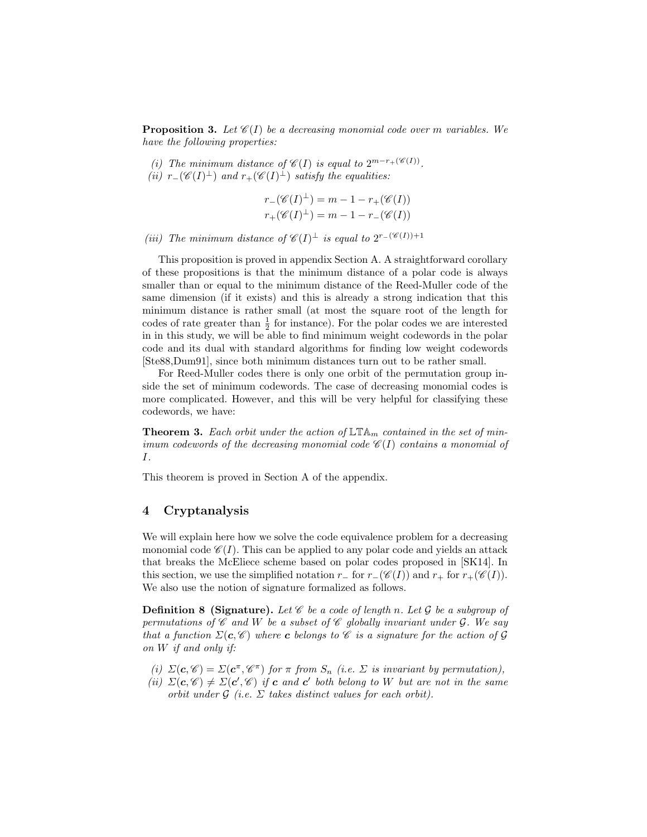**Proposition 3.** Let  $\mathscr{C}(I)$  be a decreasing monomial code over m variables. We have the following properties:

(i) The minimum distance of  $\mathscr{C}(I)$  is equal to  $2^{m-r+(\mathscr{C}(I))}$ . (ii)  $r_-(\mathscr{C}(I)^{\perp})$  and  $r_+(\mathscr{C}(I)^{\perp})$  satisfy the equalities:

$$
r_{-}(\mathscr{C}(I)^{\perp}) = m - 1 - r_{+}(\mathscr{C}(I))
$$
  

$$
r_{+}(\mathscr{C}(I)^{\perp}) = m - 1 - r_{-}(\mathscr{C}(I))
$$

(iii) The minimum distance of  $\mathscr{C}(I)^{\perp}$  is equal to  $2^{r-(\mathscr{C}(I))+1}$ 

This proposition is proved in appendix Section A. A straightforward corollary of these propositions is that the minimum distance of a polar code is always smaller than or equal to the minimum distance of the Reed-Muller code of the same dimension (if it exists) and this is already a strong indication that this minimum distance is rather small (at most the square root of the length for codes of rate greater than  $\frac{1}{2}$  for instance). For the polar codes we are interested in in this study, we will be able to find minimum weight codewords in the polar code and its dual with standard algorithms for finding low weight codewords [Ste88,Dum91], since both minimum distances turn out to be rather small.

For Reed-Muller codes there is only one orbit of the permutation group inside the set of minimum codewords. The case of decreasing monomial codes is more complicated. However, and this will be very helpful for classifying these codewords, we have:

**Theorem 3.** Each orbit under the action of  $\mathbb{LTA}_m$  contained in the set of minimum codewords of the decreasing monomial code  $\mathscr{C}(I)$  contains a monomial of I.

This theorem is proved in Section A of the appendix.

## 4 Cryptanalysis

We will explain here how we solve the code equivalence problem for a decreasing monomial code  $\mathscr{C}(I)$ . This can be applied to any polar code and yields an attack that breaks the McEliece scheme based on polar codes proposed in [SK14]. In this section, we use the simplified notation r\_ for  $r_-(\mathscr{C}(I))$  and  $r_+$  for  $r_+(\mathscr{C}(I))$ . We also use the notion of signature formalized as follows.

**Definition 8 (Signature).** Let  $\mathscr C$  be a code of length n. Let  $\mathscr G$  be a subgroup of permutations of  $\mathscr C$  and  $W$  be a subset of  $\mathscr C$  globally invariant under  $\mathcal G$ . We say that a function  $\Sigma(c, \mathscr{C})$  where c belongs to  $\mathscr{C}$  is a signature for the action of G on W if and only if:

- (i)  $\Sigma(c, \mathscr{C}) = \Sigma(c^{\pi}, \mathscr{C}^{\pi})$  for  $\pi$  from  $S_n$  (i.e.  $\Sigma$  is invariant by permutation),
- (ii)  $\Sigma(c, \mathscr{C}) \neq \Sigma(c', \mathscr{C})$  if c and c' both belong to W but are not in the same orbit under  $\mathcal G$  (i.e.  $\Sigma$  takes distinct values for each orbit).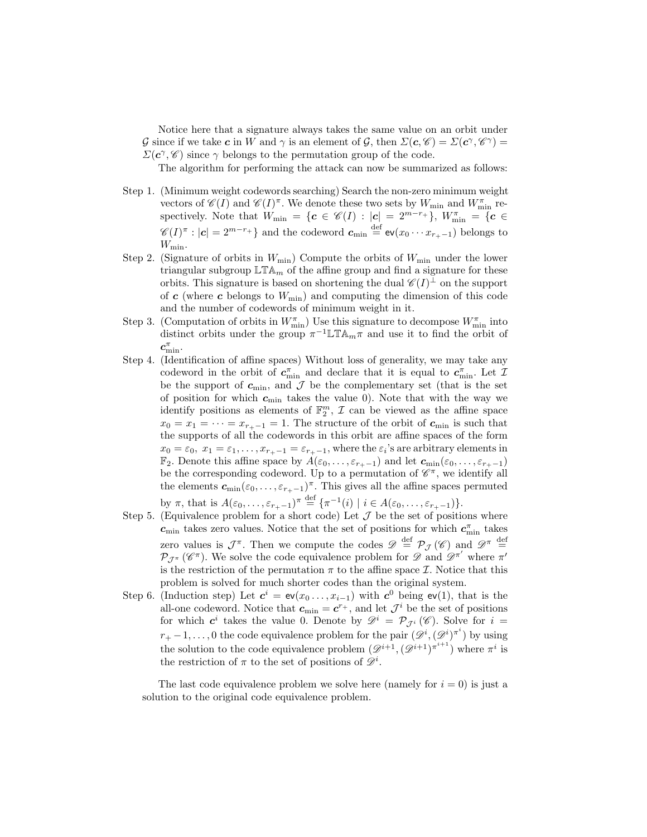Notice here that a signature always takes the same value on an orbit under G since if we take c in W and  $\gamma$  is an element of G, then  $\Sigma(c, \mathscr{C}) = \Sigma(c^{\gamma}, \mathscr{C}^{\gamma}) =$  $\Sigma(c^{\gamma}, \mathscr{C})$  since  $\gamma$  belongs to the permutation group of the code.

The algorithm for performing the attack can now be summarized as follows:

- Step 1. (Minimum weight codewords searching) Search the non-zero minimum weight vectors of  $\mathscr{C}(I)$  and  $\mathscr{C}(I)^{\pi}$ . We denote these two sets by  $W_{\min}$  and  $W_{\min}^{\pi}$  respectively. Note that  $W_{\min} = \{c \in \mathcal{C}(I) : |c| = 2^{m-r_+}\}, W_{\min}^{\pi} = \{c \in$  $\mathscr{C}(I)^{\pi}: |\mathbf{c}| = 2^{m-r_{+}}\}$  and the codeword  $\mathbf{c}_{\min} \stackrel{\text{def}}{=} \mathbf{ev}(x_0 \cdots x_{r_{+}-1})$  belongs to  $W_{\min}$ .
- Step 2. (Signature of orbits in  $W_{\text{min}}$ ) Compute the orbits of  $W_{\text{min}}$  under the lower triangular subgroup  $\mathbb{LT}\mathbb{A}_m$  of the affine group and find a signature for these orbits. This signature is based on shortening the dual  $\mathscr{C}(I)^{\perp}$  on the support of  $c$  (where c belongs to  $W_{\text{min}}$ ) and computing the dimension of this code and the number of codewords of minimum weight in it.
- Step 3. (Computation of orbits in  $W_{\text{min}}^{\pi}$ ) Use this signature to decompose  $W_{\text{min}}^{\pi}$  into distinct orbits under the group  $\pi^{-1}\mathbb{L} \mathbb{T}\mathbb{A}_m \pi$  and use it to find the orbit of  $\boldsymbol{c}^{\pi}_{\min}$ .
- Step 4. (Identification of affine spaces) Without loss of generality, we may take any codeword in the orbit of  $c_{\min}^{\pi}$  and declare that it is equal to  $c_{\min}^{\pi}$ . Let  $\mathcal{I}$ be the support of  $c_{\min}$ , and  $\mathcal J$  be the complementary set (that is the set of position for which  $c_{\min}$  takes the value 0). Note that with the way we identify positions as elements of  $\mathbb{F}_2^m$ ,  $\mathcal I$  can be viewed as the affine space  $x_0 = x_1 = \cdots = x_{r_+ - 1} = 1$ . The structure of the orbit of  $c_{\min}$  is such that the supports of all the codewords in this orbit are affine spaces of the form  $x_0 = \varepsilon_0, x_1 = \varepsilon_1, \ldots, x_{r_+ - 1} = \varepsilon_{r_+ - 1}$ , where the  $\varepsilon_i$ 's are arbitrary elements in  $\mathbb{F}_2$ . Denote this affine space by  $A(\varepsilon_0,\ldots,\varepsilon_{r_+-1})$  and let  $c_{\min}(\varepsilon_0,\ldots,\varepsilon_{r_+-1})$ be the corresponding codeword. Up to a permutation of  $\mathscr{C}^{\pi}$ , we identify all the elements  $c_{\min}(\varepsilon_0,\ldots,\varepsilon_{r_+-1})^{\pi}$ . This gives all the affine spaces permuted by  $\pi$ , that is  $A(\varepsilon_0,\ldots,\varepsilon_{r_+-1})^{\pi} \stackrel{\text{def}}{=} {\pi^{-1}(i) \mid i \in A(\varepsilon_0,\ldots,\varepsilon_{r_+-1})}.$
- Step 5. (Equivalence problem for a short code) Let  $\mathcal J$  be the set of positions where  $\pmb{c}_{\min}$  takes zero values. Notice that the set of positions for which  $\pmb{c}_{\min}^{\pi}$  takes zero values is  $\mathcal{J}^{\pi}$ . Then we compute the codes  $\mathscr{D} \stackrel{\text{def}}{=} \mathcal{P}_{\mathcal{J}}(\mathscr{C})$  and  $\mathscr{D}^{\pi} \stackrel{\text{def}}{=}$  $\mathcal{P}_{\mathcal{J}^{\pi}}(\mathscr{C}^{\pi})$ . We solve the code equivalence problem for  $\mathscr{D}$  and  $\mathscr{D}^{\pi'}$  where  $\pi'$ is the restriction of the permutation  $\pi$  to the affine space  $\mathcal I$ . Notice that this problem is solved for much shorter codes than the original system.
- Step 6. (Induction step) Let  $c^i = ev(x_0 \ldots, x_{i-1})$  with  $c^0$  being  $ev(1)$ , that is the all-one codeword. Notice that  $c_{\min} = c^{r_+}$ , and let  $\mathcal{J}^i$  be the set of positions for which  $c^i$  takes the value 0. Denote by  $\mathscr{D}^i = \mathcal{P}_{\mathcal{J}^i}(\mathscr{C})$ . Solve for  $i =$  $r_{+}-1,\ldots,0$  the code equivalence problem for the pair  $(\mathscr{D}^{i},(\mathscr{D}^{i})^{\pi^{i}})$  by using the solution to the code equivalence problem  $(\mathscr{D}^{i+1}, (\mathscr{D}^{i+1})^{\pi^{i+1}})$  where  $\pi^i$  is the restriction of  $\pi$  to the set of positions of  $\mathscr{D}^i$ .

The last code equivalence problem we solve here (namely for  $i = 0$ ) is just a solution to the original code equivalence problem.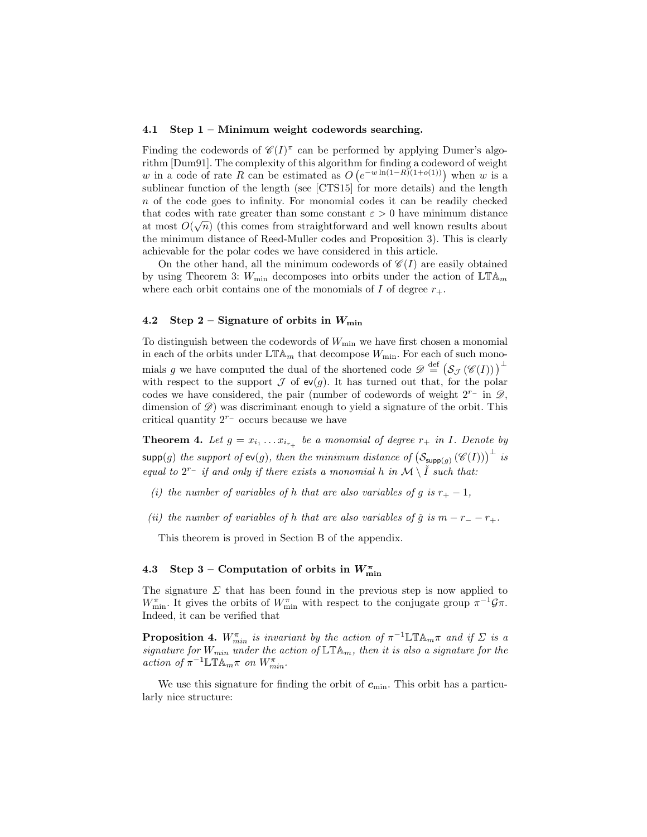#### 4.1 Step 1 – Minimum weight codewords searching.

Finding the codewords of  $\mathscr{C}(I)^{\pi}$  can be performed by applying Dumer's algorithm [Dum91]. The complexity of this algorithm for finding a codeword of weight w in a code of rate R can be estimated as  $O(e^{-w \ln(1-R)(1+o(1))})$  when w is a sublinear function of the length (see [CTS15] for more details) and the length  $n$  of the code goes to infinity. For monomial codes it can be readily checked that codes with rate greater than some constant  $\varepsilon > 0$  have minimum distance at most  $O(\sqrt{n})$  (this comes from straightforward and well known results about the minimum distance of Reed-Muller codes and Proposition 3). This is clearly achievable for the polar codes we have considered in this article.

On the other hand, all the minimum codewords of  $\mathcal{C}(I)$  are easily obtained by using Theorem 3:  $W_{\text{min}}$  decomposes into orbits under the action of  $\mathbb{LT}\mathbb{A}_m$ where each orbit contains one of the monomials of I of degree  $r_{+}$ .

#### 4.2 Step 2 – Signature of orbits in  $W_{\text{min}}$

To distinguish between the codewords of  $W_{\text{min}}$  we have first chosen a monomial in each of the orbits under  $\mathbb{LT}\mathbb{A}_m$  that decompose  $W_{\min}.$  For each of such monomials g we have computed the dual of the shortened code  $\mathscr{D} \stackrel{\text{def}}{=} (\mathcal{S}_{\mathcal{J}}(\mathscr{C}(I)))^{\perp}$ with respect to the support  $\mathcal J$  of  $ev(g)$ . It has turned out that, for the polar codes we have considered, the pair (number of codewords of weight  $2<sup>r−</sup>$  in  $\mathscr{D}$ , dimension of  $\mathscr{D}$ ) was discriminant enough to yield a signature of the orbit. This critical quantity 2r<sup>−</sup> occurs because we have

**Theorem 4.** Let  $g = x_{i_1} \ldots x_{i_{r_+}}$  be a monomial of degree  $r_+$  in I. Denote by supp(g) the support of  $ev(g)$ , then the minimum distance of  $(S_{supp(g)} (\mathscr{C}(I)))^{\perp}$  is equal to  $2^{r-1}$  if and only if there exists a monomial h in  $\mathcal{M} \setminus \check{I}$  such that:

- (i) the number of variables of h that are also variables of g is  $r_{+} 1$ ,
- (ii) the number of variables of h that are also variables of  $\check{g}$  is  $m r_- r_+$ .

This theorem is proved in Section B of the appendix.

## 4.3 Step 3 – Computation of orbits in  $W_{\min}^{\pi}$

The signature  $\Sigma$  that has been found in the previous step is now applied to  $W_{\min}^{\pi}$ . It gives the orbits of  $W_{\min}^{\pi}$  with respect to the conjugate group  $\pi^{-1}\mathcal{G}\pi$ . Indeed, it can be verified that

**Proposition 4.**  $W_{min}^{\pi}$  is invariant by the action of  $\pi^{-1}\mathbb{L} \mathbb{T}\mathbb{A}_{m} \pi$  and if  $\Sigma$  is a signature for  $W_{min}$  under the action of  $\mathbb{LTA}_m$ , then it is also a signature for the action of  $\pi^{-1}\mathbb{L}{\mathbb{T}\mathbb{A}}_m\pi$  on  $W_{min}^{\pi}$ .

We use this signature for finding the orbit of  $c_{\min}$ . This orbit has a particularly nice structure: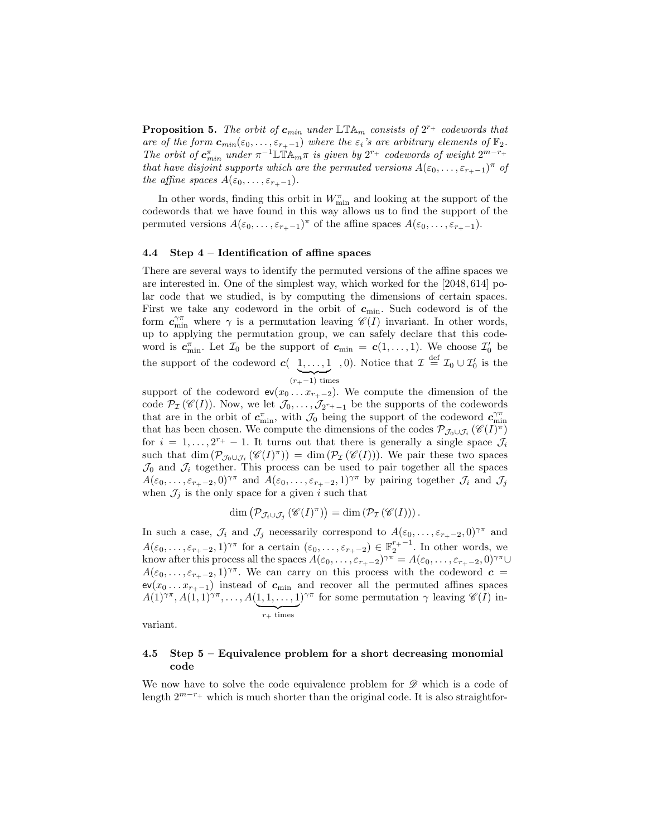**Proposition 5.** The orbit of  $c_{min}$  under  $\mathbb{LTA}_{m}$  consists of  $2^{r+}$  codewords that are of the form  $\mathbf{c}_{min}(\varepsilon_0,\ldots,\varepsilon_{r_+-1})$  where the  $\varepsilon_i$ 's are arbitrary elements of  $\mathbb{F}_2$ . The orbit of  $c_{min}^{\pi}$  under  $\pi^{-1}\mathbb{LT}\mathbb{A}_{m}\pi$  is given by  $2^{r_{+}}$  codewords of weight  $2^{m-r_{+}}$ that have disjoint supports which are the permuted versions  $A(\varepsilon_0, \ldots, \varepsilon_{r_+-1})^{\pi}$  of the affine spaces  $A(\varepsilon_0, \ldots, \varepsilon_{r_+-1}).$ 

In other words, finding this orbit in  $W_{\min}^{\pi}$  and looking at the support of the codewords that we have found in this way allows us to find the support of the permuted versions  $A(\varepsilon_0,\ldots,\varepsilon_{r_+-1})^{\pi}$  of the affine spaces  $A(\varepsilon_0,\ldots,\varepsilon_{r_+-1})$ .

#### 4.4 Step 4 – Identification of affine spaces

There are several ways to identify the permuted versions of the affine spaces we are interested in. One of the simplest way, which worked for the [2048, 614] polar code that we studied, is by computing the dimensions of certain spaces. First we take any codeword in the orbit of  $c_{\min}$ . Such codeword is of the form  $c_{\min}^{\gamma \pi}$  where  $\gamma$  is a permutation leaving  $\mathscr{C}(I)$  invariant. In other words, up to applying the permutation group, we can safely declare that this codeword is  $c_{\min}^{\pi}$ . Let  $\mathcal{I}_0$  be the support of  $c_{\min} = c(1,\ldots,1)$ . We choose  $\mathcal{I}'_0$  be the support of the codeword  $c(-1,\ldots,1, 0)$ . Notice that  $\mathcal{I} \stackrel{\text{def}}{=} \mathcal{I}_0 \cup \mathcal{I}_0'$  is the  $(r_{+}-1)$  times

support of the codeword  $ev(x_0 \ldots x_{r_+ - 2})$ . We compute the dimension of the code  $\mathcal{P}_{\mathcal{I}}(\mathscr{C}(I))$ . Now, we let  $\mathcal{J}_0,\ldots,\mathcal{J}_{2^{r_{+}}-1}$  be the supports of the codewords that are in the orbit of  $c_{\min}^{\pi}$ , with  $\mathcal{J}_0$  being the support of the codeword  $c_{\min}^{2\pi}$ that has been chosen. We compute the dimensions of the codes  $\mathcal{P}_{\mathcal{J}_0\cup\mathcal{J}_i}(\mathscr{C}(I)^{\pi})$ for  $i = 1, ..., 2^{r_+} - 1$ . It turns out that there is generally a single space  $\mathcal{J}_i$ such that  $\dim (\mathcal{P}_{\mathcal{J}_0\cup\mathcal{J}_i}(\mathscr{C}(I)^{\pi})) = \dim (\mathcal{P}_{\mathcal{I}}(\mathscr{C}(I)))$ . We pair these two spaces  $\mathcal{J}_0$  and  $\mathcal{J}_i$  together. This process can be used to pair together all the spaces  $A(\varepsilon_0,\ldots,\varepsilon_{r_+-2},0)^{\gamma\pi}$  and  $A(\varepsilon_0,\ldots,\varepsilon_{r_+-2},1)^{\gamma\pi}$  by pairing together  $\mathcal{J}_i$  and  $\mathcal{J}_j$ when  $\mathcal{J}_j$  is the only space for a given i such that

$$
\dim\left(\mathcal{P}_{\mathcal{J}_i\cup\mathcal{J}_j}\left(\mathscr{C}(I)^{\pi}\right)\right)=\dim\left(\mathcal{P}_{\mathcal{I}}\left(\mathscr{C}(I)\right)\right).
$$

In such a case,  $\mathcal{J}_i$  and  $\mathcal{J}_j$  necessarily correspond to  $A(\varepsilon_0,\ldots,\varepsilon_{r_+-2},0)^{\gamma\pi}$  and  $A(\varepsilon_0,\ldots,\varepsilon_{r_+-2},1)^{\gamma\pi}$  for a certain  $(\varepsilon_0,\ldots,\varepsilon_{r_+-2})\in \mathbb{F}_2^{r_+-1}$ . In other words, we know after this process all the spaces  $A(\varepsilon_0,\ldots,\varepsilon_{r_+-2})^{\gamma\pi}=A(\varepsilon_0,\ldots,\varepsilon_{r_+-2},0)^{\gamma\pi}\cup$  $A(\varepsilon_0,\ldots,\varepsilon_{r_+-2},1)^{\gamma\pi}$ . We can carry on this process with the codeword  $\boldsymbol{c}$  =  $ev(x_0 ... x_{r_+-1})$  instead of  $c_{\min}$  and recover all the permuted affines spaces  $A(1)^\gamma{}^\pi, A(1,1)^\gamma{}^\pi, \ldots, A(1,1,\ldots,1)^\gamma{}^\pi$  for some permutation  $\gamma$  leaving  $\mathscr{C}(I)$  in- ${r_+}$  times

variant.

## 4.5 Step 5 – Equivalence problem for a short decreasing monomial code

We now have to solve the code equivalence problem for  $\mathscr D$  which is a code of length  $2^{m-r_+}$  which is much shorter than the original code. It is also straightfor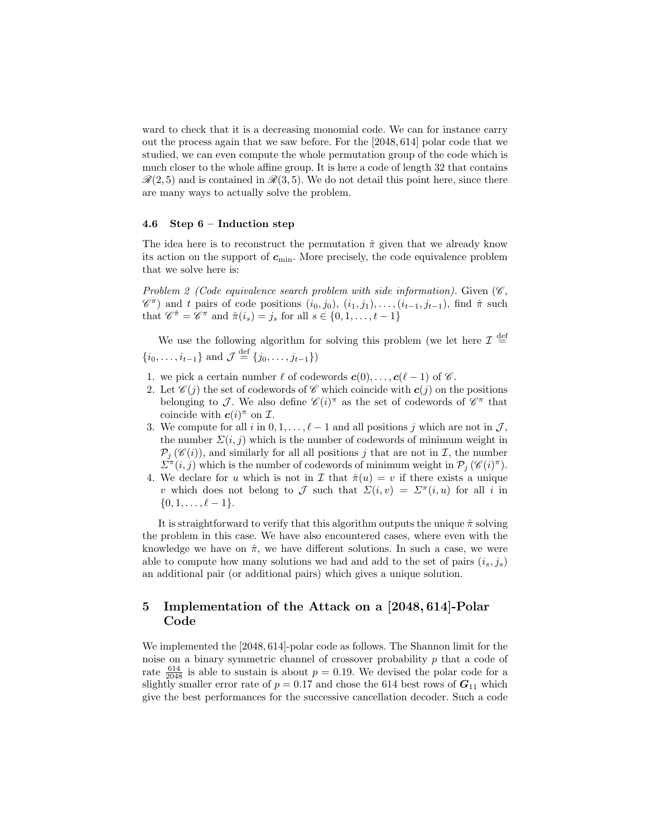ward to check that it is a decreasing monomial code. We can for instance carry out the process again that we saw before. For the [2048, 614] polar code that we studied, we can even compute the whole permutation group of the code which is much closer to the whole affine group. It is here a code of length 32 that contains  $\mathcal{R}(2, 5)$  and is contained in  $\mathcal{R}(3, 5)$ . We do not detail this point here, since there are many ways to actually solve the problem.

#### 4.6 Step 6 – Induction step

The idea here is to reconstruct the permutation  $\hat{\pi}$  given that we already know its action on the support of  $c_{\min}$ . More precisely, the code equivalence problem that we solve here is:

Problem 2 (Code equivalence search problem with side information). Given  $(\mathscr{C},$  $\mathscr{C}^{\pi}$ ) and t pairs of code positions  $(i_0, j_0)$ ,  $(i_1, j_1)$ , ...,  $(i_{t-1}, j_{t-1})$ , find  $\hat{\pi}$  such that  $\mathscr{C}^{\hat{\pi}} = \mathscr{C}^{\pi}$  and  $\hat{\pi}(i_s) = j_s$  for all  $s \in \{0, 1, \dots, t-1\}$ 

We use the following algorithm for solving this problem (we let here  $\mathcal{I} \stackrel{\text{def}}{=}$  $\{i_0, \ldots, i_{t-1}\}\$  and  $\mathcal{J} \stackrel{\text{def}}{=} \{j_0, \ldots, j_{t-1}\}\$ 

- 1. we pick a certain number  $\ell$  of codewords  $\mathbf{c}(0), \ldots, \mathbf{c}(\ell 1)$  of  $\mathscr{C}$ .
- 2. Let  $\mathscr{C}(j)$  the set of codewords of  $\mathscr C$  which coincide with  $\mathbf{c}(j)$  on the positions belonging to  $\mathcal{J}$ . We also define  $\mathscr{C}(i)^{\pi}$  as the set of codewords of  $\mathscr{C}^{\pi}$  that coincide with  $c(i)^{\pi}$  on  $\mathcal{I}$ .
- 3. We compute for all i in  $0, 1, \ldots, \ell 1$  and all positions j which are not in  $\mathcal{J}$ , the number  $\Sigma(i, j)$  which is the number of codewords of minimum weight in  $\mathcal{P}_i(\mathscr{C}(i))$ , and similarly for all all positions j that are not in  $\mathcal{I}$ , the number  $\sum^{\pi}(i,j)$  which is the number of codewords of minimum weight in  $\mathcal{P}_j(\mathscr{C}(i)^{\pi})$ .
- 4. We declare for u which is not in  $\mathcal I$  that  $\hat{\pi}(u) = v$  if there exists a unique v which does not belong to J such that  $\Sigma(i, v) = \Sigma^{\pi}(i, u)$  for all i in  $\{0, 1, \ldots, \ell - 1\}.$

It is straightforward to verify that this algorithm outputs the unique  $\hat{\pi}$  solving the problem in this case. We have also encountered cases, where even with the knowledge we have on  $\hat{\pi}$ , we have different solutions. In such a case, we were able to compute how many solutions we had and add to the set of pairs  $(i_s, j_s)$ an additional pair (or additional pairs) which gives a unique solution.

## 5 Implementation of the Attack on a [2048, 614]-Polar Code

We implemented the [2048, 614]-polar code as follows. The Shannon limit for the noise on a binary symmetric channel of crossover probability p that a code of rate  $\frac{614}{2048}$  is able to sustain is about  $p = 0.19$ . We devised the polar code for a slightly smaller error rate of  $p = 0.17$  and chose the 614 best rows of  $G_{11}$  which give the best performances for the successive cancellation decoder. Such a code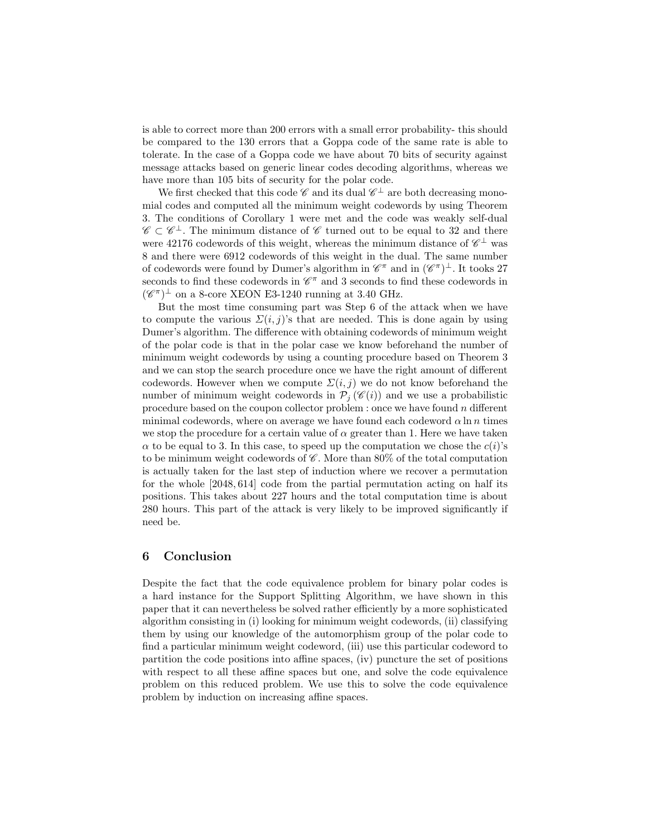is able to correct more than 200 errors with a small error probability- this should be compared to the 130 errors that a Goppa code of the same rate is able to tolerate. In the case of a Goppa code we have about 70 bits of security against message attacks based on generic linear codes decoding algorithms, whereas we have more than 105 bits of security for the polar code.

We first checked that this code  $\mathscr C$  and its dual  $\mathscr C^{\perp}$  are both decreasing monomial codes and computed all the minimum weight codewords by using Theorem 3. The conditions of Corollary 1 were met and the code was weakly self-dual  $\mathscr{C} \subset \mathscr{C}^{\perp}$ . The minimum distance of  $\mathscr{C}$  turned out to be equal to 32 and there were 42176 codewords of this weight, whereas the minimum distance of  $\mathscr{C}^\perp$  was 8 and there were 6912 codewords of this weight in the dual. The same number of codewords were found by Dumer's algorithm in  $\mathscr{C}^{\pi}$  and in  $(\mathscr{C}^{\pi})^{\perp}$ . It tooks 27 seconds to find these codewords in  $\mathcal{C}^\pi$  and 3 seconds to find these codewords in  $(\mathscr{C}^{\pi})^{\perp}$  on a 8-core XEON E3-1240 running at 3.40 GHz.

But the most time consuming part was Step 6 of the attack when we have to compute the various  $\Sigma(i, j)$ 's that are needed. This is done again by using Dumer's algorithm. The difference with obtaining codewords of minimum weight of the polar code is that in the polar case we know beforehand the number of minimum weight codewords by using a counting procedure based on Theorem 3 and we can stop the search procedure once we have the right amount of different codewords. However when we compute  $\Sigma(i, j)$  we do not know beforehand the number of minimum weight codewords in  $\mathcal{P}_j (\mathcal{C}(i))$  and we use a probabilistic procedure based on the coupon collector problem : once we have found  $n$  different minimal codewords, where on average we have found each codeword  $\alpha \ln n$  times we stop the procedure for a certain value of  $\alpha$  greater than 1. Here we have taken  $\alpha$  to be equal to 3. In this case, to speed up the computation we chose the  $c(i)$ 's to be minimum weight codewords of  $\mathscr C$ . More than 80% of the total computation is actually taken for the last step of induction where we recover a permutation for the whole [2048, 614] code from the partial permutation acting on half its positions. This takes about 227 hours and the total computation time is about 280 hours. This part of the attack is very likely to be improved significantly if need be.

## 6 Conclusion

Despite the fact that the code equivalence problem for binary polar codes is a hard instance for the Support Splitting Algorithm, we have shown in this paper that it can nevertheless be solved rather efficiently by a more sophisticated algorithm consisting in (i) looking for minimum weight codewords, (ii) classifying them by using our knowledge of the automorphism group of the polar code to find a particular minimum weight codeword, (iii) use this particular codeword to partition the code positions into affine spaces, (iv) puncture the set of positions with respect to all these affine spaces but one, and solve the code equivalence problem on this reduced problem. We use this to solve the code equivalence problem by induction on increasing affine spaces.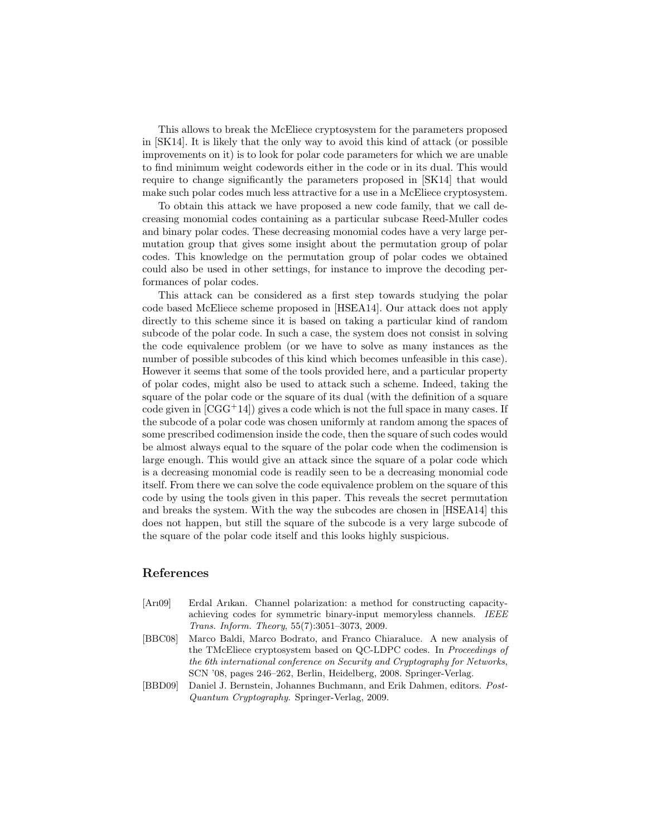This allows to break the McEliece cryptosystem for the parameters proposed in [SK14]. It is likely that the only way to avoid this kind of attack (or possible improvements on it) is to look for polar code parameters for which we are unable to find minimum weight codewords either in the code or in its dual. This would require to change significantly the parameters proposed in [SK14] that would make such polar codes much less attractive for a use in a McEliece cryptosystem.

To obtain this attack we have proposed a new code family, that we call decreasing monomial codes containing as a particular subcase Reed-Muller codes and binary polar codes. These decreasing monomial codes have a very large permutation group that gives some insight about the permutation group of polar codes. This knowledge on the permutation group of polar codes we obtained could also be used in other settings, for instance to improve the decoding performances of polar codes.

This attack can be considered as a first step towards studying the polar code based McEliece scheme proposed in [HSEA14]. Our attack does not apply directly to this scheme since it is based on taking a particular kind of random subcode of the polar code. In such a case, the system does not consist in solving the code equivalence problem (or we have to solve as many instances as the number of possible subcodes of this kind which becomes unfeasible in this case). However it seems that some of the tools provided here, and a particular property of polar codes, might also be used to attack such a scheme. Indeed, taking the square of the polar code or the square of its dual (with the definition of a square code given in  $[CGG+14]$  gives a code which is not the full space in many cases. If the subcode of a polar code was chosen uniformly at random among the spaces of some prescribed codimension inside the code, then the square of such codes would be almost always equal to the square of the polar code when the codimension is large enough. This would give an attack since the square of a polar code which is a decreasing monomial code is readily seen to be a decreasing monomial code itself. From there we can solve the code equivalence problem on the square of this code by using the tools given in this paper. This reveals the secret permutation and breaks the system. With the way the subcodes are chosen in [HSEA14] this does not happen, but still the square of the subcode is a very large subcode of the square of the polar code itself and this looks highly suspicious.

## References

- [Arı09] Erdal Arıkan. Channel polarization: a method for constructing capacityachieving codes for symmetric binary-input memoryless channels. IEEE Trans. Inform. Theory, 55(7):3051–3073, 2009.
- [BBC08] Marco Baldi, Marco Bodrato, and Franco Chiaraluce. A new analysis of the TMcEliece cryptosystem based on QC-LDPC codes. In Proceedings of the 6th international conference on Security and Cryptography for Networks, SCN '08, pages 246–262, Berlin, Heidelberg, 2008. Springer-Verlag.
- [BBD09] Daniel J. Bernstein, Johannes Buchmann, and Erik Dahmen, editors. Post-Quantum Cryptography. Springer-Verlag, 2009.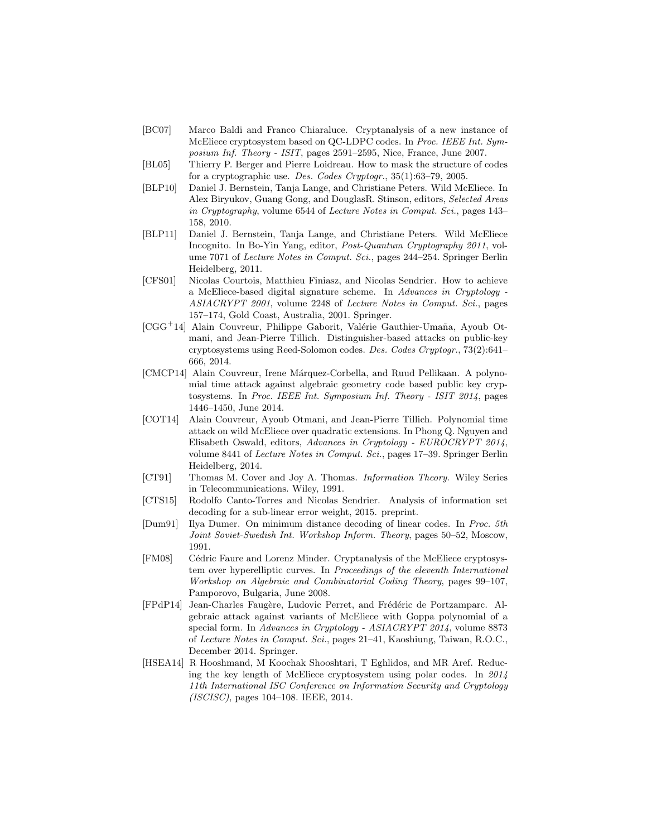- [BC07] Marco Baldi and Franco Chiaraluce. Cryptanalysis of a new instance of McEliece cryptosystem based on QC-LDPC codes. In Proc. IEEE Int. Symposium Inf. Theory - ISIT, pages 2591–2595, Nice, France, June 2007.
- [BL05] Thierry P. Berger and Pierre Loidreau. How to mask the structure of codes for a cryptographic use. Des. Codes Cryptogr., 35(1):63–79, 2005.
- [BLP10] Daniel J. Bernstein, Tanja Lange, and Christiane Peters. Wild McEliece. In Alex Biryukov, Guang Gong, and DouglasR. Stinson, editors, Selected Areas in Cryptography, volume 6544 of Lecture Notes in Comput. Sci., pages 143– 158, 2010.
- [BLP11] Daniel J. Bernstein, Tanja Lange, and Christiane Peters. Wild McEliece Incognito. In Bo-Yin Yang, editor, Post-Quantum Cryptography 2011, volume 7071 of Lecture Notes in Comput. Sci., pages 244–254. Springer Berlin Heidelberg, 2011.
- [CFS01] Nicolas Courtois, Matthieu Finiasz, and Nicolas Sendrier. How to achieve a McEliece-based digital signature scheme. In Advances in Cryptology - ASIACRYPT 2001, volume 2248 of Lecture Notes in Comput. Sci., pages 157–174, Gold Coast, Australia, 2001. Springer.
- [CGG<sup>+</sup>14] Alain Couvreur, Philippe Gaborit, Valérie Gauthier-Umaña, Ayoub Otmani, and Jean-Pierre Tillich. Distinguisher-based attacks on public-key cryptosystems using Reed-Solomon codes. Des. Codes Cryptogr., 73(2):641– 666, 2014.
- [CMCP14] Alain Couvreur, Irene Márquez-Corbella, and Ruud Pellikaan. A polynomial time attack against algebraic geometry code based public key cryptosystems. In Proc. IEEE Int. Symposium Inf. Theory - ISIT 2014, pages 1446–1450, June 2014.
- [COT14] Alain Couvreur, Ayoub Otmani, and Jean-Pierre Tillich. Polynomial time attack on wild McEliece over quadratic extensions. In Phong Q. Nguyen and Elisabeth Oswald, editors, Advances in Cryptology - EUROCRYPT 2014, volume 8441 of Lecture Notes in Comput. Sci., pages 17–39. Springer Berlin Heidelberg, 2014.
- [CT91] Thomas M. Cover and Joy A. Thomas. Information Theory. Wiley Series in Telecommunications. Wiley, 1991.
- [CTS15] Rodolfo Canto-Torres and Nicolas Sendrier. Analysis of information set decoding for a sub-linear error weight, 2015. preprint.
- [Dum91] Ilya Dumer. On minimum distance decoding of linear codes. In Proc. 5th Joint Soviet-Swedish Int. Workshop Inform. Theory, pages 50–52, Moscow, 1991.
- [FM08] Cédric Faure and Lorenz Minder. Cryptanalysis of the McEliece cryptosystem over hyperelliptic curves. In Proceedings of the eleventh International Workshop on Algebraic and Combinatorial Coding Theory, pages 99–107, Pamporovo, Bulgaria, June 2008.
- [FPdP14] Jean-Charles Faugère, Ludovic Perret, and Frédéric de Portzamparc. Algebraic attack against variants of McEliece with Goppa polynomial of a special form. In Advances in Cryptology - ASIACRYPT 2014, volume 8873 of Lecture Notes in Comput. Sci., pages 21–41, Kaoshiung, Taiwan, R.O.C., December 2014. Springer.
- [HSEA14] R Hooshmand, M Koochak Shooshtari, T Eghlidos, and MR Aref. Reducing the key length of McEliece cryptosystem using polar codes. In 2014 11th International ISC Conference on Information Security and Cryptology (ISCISC), pages 104–108. IEEE, 2014.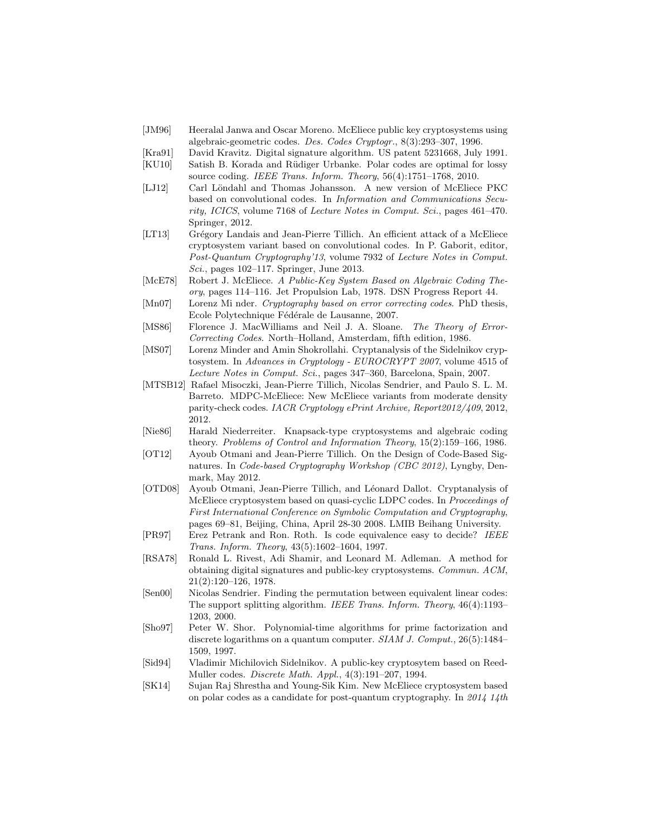- [JM96] Heeralal Janwa and Oscar Moreno. McEliece public key cryptosystems using algebraic-geometric codes. Des. Codes Cryptogr., 8(3):293–307, 1996.
- [Kra91] David Kravitz. Digital signature algorithm. US patent 5231668, July 1991.
- [KU10] Satish B. Korada and Rüdiger Urbanke. Polar codes are optimal for lossy source coding. IEEE Trans. Inform. Theory, 56(4):1751–1768, 2010.
- [LJ12] Carl Löndahl and Thomas Johansson. A new version of McEliece PKC based on convolutional codes. In Information and Communications Security, ICICS, volume 7168 of Lecture Notes in Comput. Sci., pages 461–470. Springer, 2012.
- [LT13] Grégory Landais and Jean-Pierre Tillich. An efficient attack of a McEliece cryptosystem variant based on convolutional codes. In P. Gaborit, editor, Post-Quantum Cryptography'13, volume 7932 of Lecture Notes in Comput. Sci., pages 102–117. Springer, June 2013.
- [McE78] Robert J. McEliece. A Public-Key System Based on Algebraic Coding Theory, pages 114–116. Jet Propulsion Lab, 1978. DSN Progress Report 44.
- [Mn07] Lorenz Mi nder. Cryptography based on error correcting codes. PhD thesis, Ecole Polytechnique Fédérale de Lausanne, 2007.
- [MS86] Florence J. MacWilliams and Neil J. A. Sloane. The Theory of Error-Correcting Codes. North–Holland, Amsterdam, fifth edition, 1986.
- [MS07] Lorenz Minder and Amin Shokrollahi. Cryptanalysis of the Sidelnikov cryptosystem. In Advances in Cryptology - EUROCRYPT 2007, volume 4515 of Lecture Notes in Comput. Sci., pages 347–360, Barcelona, Spain, 2007.
- [MTSB12] Rafael Misoczki, Jean-Pierre Tillich, Nicolas Sendrier, and Paulo S. L. M. Barreto. MDPC-McEliece: New McEliece variants from moderate density parity-check codes. IACR Cryptology ePrint Archive, Report2012/409, 2012, 2012.
- [Nie86] Harald Niederreiter. Knapsack-type cryptosystems and algebraic coding theory. Problems of Control and Information Theory, 15(2):159–166, 1986.
- [OT12] Ayoub Otmani and Jean-Pierre Tillich. On the Design of Code-Based Signatures. In Code-based Cryptography Workshop (CBC 2012), Lyngby, Denmark, May 2012.
- [OTD08] Ayoub Otmani, Jean-Pierre Tillich, and Léonard Dallot. Cryptanalysis of McEliece cryptosystem based on quasi-cyclic LDPC codes. In Proceedings of First International Conference on Symbolic Computation and Cryptography, pages 69–81, Beijing, China, April 28-30 2008. LMIB Beihang University.
- [PR97] Erez Petrank and Ron. Roth. Is code equivalence easy to decide? IEEE Trans. Inform. Theory, 43(5):1602–1604, 1997.
- [RSA78] Ronald L. Rivest, Adi Shamir, and Leonard M. Adleman. A method for obtaining digital signatures and public-key cryptosystems. Commun. ACM, 21(2):120–126, 1978.
- [Sen00] Nicolas Sendrier. Finding the permutation between equivalent linear codes: The support splitting algorithm. IEEE Trans. Inform. Theory, 46(4):1193– 1203, 2000.
- [Sho97] Peter W. Shor. Polynomial-time algorithms for prime factorization and discrete logarithms on a quantum computer. SIAM J. Comput., 26(5):1484– 1509, 1997.
- [Sid94] Vladimir Michilovich Sidelnikov. A public-key cryptosytem based on Reed-Muller codes. Discrete Math. Appl., 4(3):191–207, 1994.
- [SK14] Sujan Raj Shrestha and Young-Sik Kim. New McEliece cryptosystem based on polar codes as a candidate for post-quantum cryptography. In 2014 14th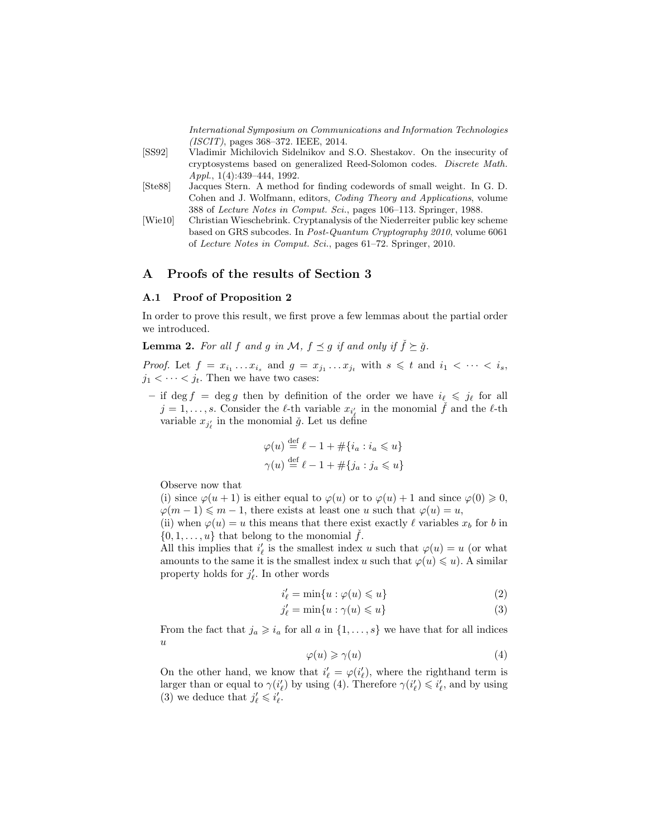International Symposium on Communications and Information Technologies (ISCIT), pages 368–372. IEEE, 2014.

- [SS92] Vladimir Michilovich Sidelnikov and S.O. Shestakov. On the insecurity of cryptosystems based on generalized Reed-Solomon codes. Discrete Math. Appl., 1(4):439–444, 1992.
- [Ste88] Jacques Stern. A method for finding codewords of small weight. In G. D. Cohen and J. Wolfmann, editors, Coding Theory and Applications, volume 388 of Lecture Notes in Comput. Sci., pages 106–113. Springer, 1988.
- [Wie10] Christian Wieschebrink. Cryptanalysis of the Niederreiter public key scheme based on GRS subcodes. In Post-Quantum Cryptography 2010, volume 6061 of Lecture Notes in Comput. Sci., pages 61–72. Springer, 2010.

## A Proofs of the results of Section 3

#### A.1 Proof of Proposition 2

In order to prove this result, we first prove a few lemmas about the partial order we introduced.

**Lemma 2.** For all f and g in M,  $f \preceq g$  if and only if  $\check{f} \succeq \check{g}$ .

*Proof.* Let  $f = x_{i_1} \ldots x_{i_s}$  and  $g = x_{j_1} \ldots x_{j_t}$  with  $s \leq t$  and  $i_1 < \cdots < i_s$ ,  $j_1 < \cdots < j_t$ . Then we have two cases:

– if deg f = deg g then by definition of the order we have  $i_{\ell} \leqslant j_{\ell}$  for all  $j = 1, \ldots, s$ . Consider the  $\ell$ -th variable  $x_{i'_\ell}$  in the monomial  $\check{f}$  and the  $\ell$ -th variable  $x_{j'_\ell}$  in the monomial  $\check{g}$ . Let us define

$$
\varphi(u) \stackrel{\text{def}}{=} \ell - 1 + \#\{i_a : i_a \leq u\}
$$
  

$$
\gamma(u) \stackrel{\text{def}}{=} \ell - 1 + \#\{j_a : j_a \leq u\}
$$

Observe now that

(i) since  $\varphi(u+1)$  is either equal to  $\varphi(u)$  or to  $\varphi(u)+1$  and since  $\varphi(0)\geqslant 0$ ,  $\varphi(m-1) \leq m-1$ , there exists at least one u such that  $\varphi(u) = u$ ,

(ii) when  $\varphi(u) = u$  this means that there exist exactly  $\ell$  variables  $x_b$  for b in  $\{0, 1, \ldots, u\}$  that belong to the monomial  $\hat{f}$ .

All this implies that  $i'_\ell$  is the smallest index u such that  $\varphi(u) = u$  (or what amounts to the same it is the smallest index u such that  $\varphi(u) \leq u$ . A similar property holds for  $j'_{\ell}$ . In other words

$$
i'_{\ell} = \min\{u : \varphi(u) \leqslant u\} \tag{2}
$$

$$
j'_{\ell} = \min\{u : \gamma(u) \leqslant u\} \tag{3}
$$

From the fact that  $j_a \geq i_a$  for all  $a$  in  $\{1, \ldots, s\}$  we have that for all indices  $\boldsymbol{u}$ 

$$
\varphi(u) \geqslant \gamma(u) \tag{4}
$$

On the other hand, we know that  $i'_{\ell} = \varphi(i'_{\ell})$ , where the righthand term is larger than or equal to  $\gamma(i'_\ell)$  by using (4). Therefore  $\gamma(i'_\ell) \leq i'_\ell$ , and by using (3) we deduce that  $j'_\ell \leqslant i'_\ell.$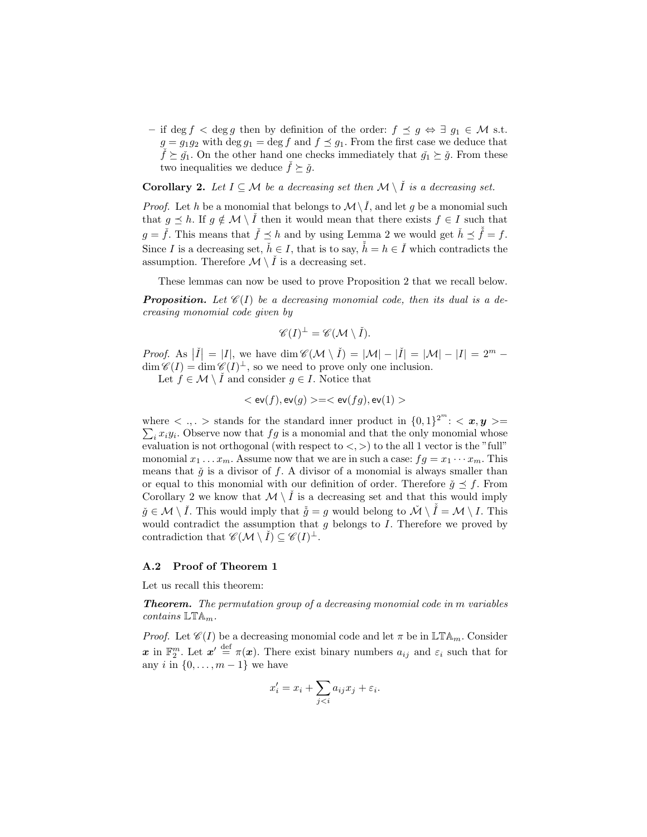– if deg f < deg g then by definition of the order:  $f \preceq g \Leftrightarrow \exists g_1 \in \mathcal{M}$  s.t.  $g = g_1 g_2$  with  $\deg g_1 = \deg f$  and  $f \preceq g_1$ . From the first case we deduce that  $\check{f} \succeq \check{g}_1$ . On the other hand one checks immediately that  $\check{g}_1 \succeq \check{g}$ . From these two inequalities we deduce  $\check{f} \succeq \check{g}$ .

**Corollary 2.** Let  $I \subseteq \mathcal{M}$  be a decreasing set then  $\mathcal{M} \setminus I$  is a decreasing set.

*Proof.* Let h be a monomial that belongs to  $\mathcal{M} \setminus I$ , and let g be a monomial such that  $g \preceq h$ . If  $g \notin \mathcal{M} \setminus I$  then it would mean that there exists  $f \in I$  such that  $g = \check{f}$ . This means that  $\check{f} \preceq h$  and by using Lemma 2 we would get  $\check{h} \preceq \check{f} = f$ . Since I is a decreasing set,  $\check{h} \in I$ , that is to say,  $\check{h} = h \in \check{I}$  which contradicts the assumption. Therefore  $\mathcal{M} \setminus I$  is a decreasing set.

These lemmas can now be used to prove Proposition 2 that we recall below.

**Proposition.** Let  $\mathscr{C}(I)$  be a decreasing monomial code, then its dual is a decreasing monomial code given by

$$
\mathscr{C}(I)^{\perp}=\mathscr{C}(\mathcal{M}\setminus \check{I}).
$$

Proof. As  $|\check{I}| = |I|$ , we have dim  $\mathscr{C}(\mathcal{M} \setminus \check{I}) = |\mathcal{M}| - |\check{I}| = |\mathcal{M}| - |I| = 2^m \dim \mathscr{C}(I) = \dim \mathscr{C}(I)^{\perp}$ , so we need to prove only one inclusion.

Let  $f \in \mathcal{M} \setminus I$  and consider  $g \in I$ . Notice that

 $\langle$  ev(f), ev(q)  $>=\langle$  ev(fq), ev(1)  $>$ 

where  $\langle , . \rangle$  stands for the standard inner product in  $\{0, 1\}^{2^m}$ where  $\langle \,\cdot\,,.\rangle$  stands for the standard inner product in  $\{0,1\}^{2^m}$ :  $\langle x,y \rangle = \sum_i x_i y_i$ . Observe now that  $fg$  is a monomial and that the only monomial whose evaluation is not orthogonal (with respect to  $\langle \cdot, \cdot \rangle$ ) to the all 1 vector is the "full" monomial  $x_1 \ldots x_m$ . Assume now that we are in such a case:  $fg = x_1 \cdots x_m$ . This means that  $\check{g}$  is a divisor of f. A divisor of a monomial is always smaller than or equal to this monomial with our definition of order. Therefore  $\check{g} \preceq f$ . From Corollary 2 we know that  $\mathcal{M} \setminus I$  is a decreasing set and that this would imply  $\check{g} \in \mathcal{M} \setminus I$ . This would imply that  $\check{g} = g$  would belong to  $\check{\mathcal{M}} \setminus I = \mathcal{M} \setminus I$ . This would contradict the assumption that  $g$  belongs to  $I$ . Therefore we proved by contradiction that  $\mathscr{C}(\mathcal{M} \setminus \check{I}) \subseteq \mathscr{C}(I)^{\perp}$ .

#### A.2 Proof of Theorem 1

Let us recall this theorem:

Theorem. The permutation group of a decreasing monomial code in m variables contains  $\mathbb{LT}\mathbb{A}_m$ .

*Proof.* Let  $\mathscr{C}(I)$  be a decreasing monomial code and let  $\pi$  be in  $\mathbb{LTA}_m$ . Consider x in  $\mathbb{F}_2^m$ . Let  $x' \stackrel{\text{def}}{=} \pi(x)$ . There exist binary numbers  $a_{ij}$  and  $\varepsilon_i$  such that for any i in  $\{0, \ldots, m-1\}$  we have

$$
x_i' = x_i + \sum_{j
$$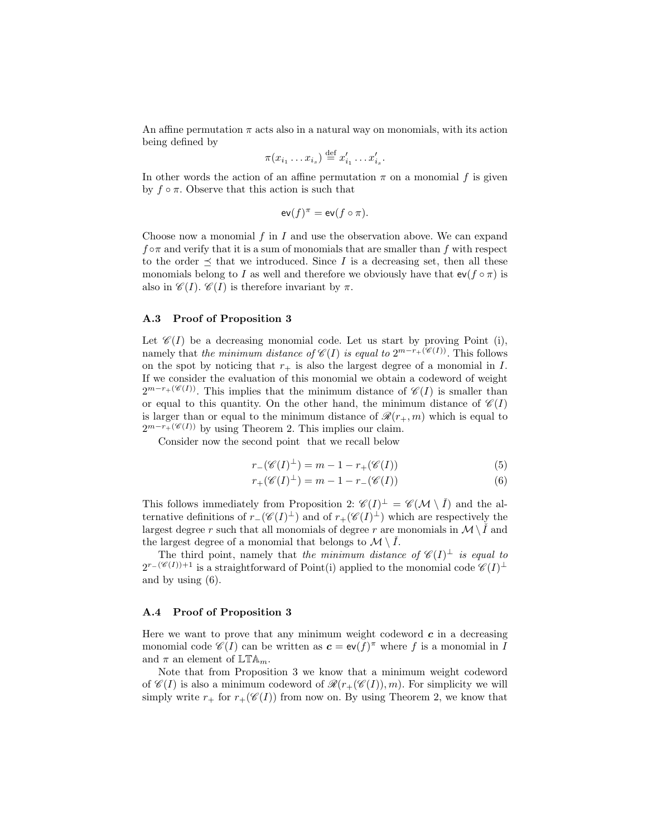An affine permutation  $\pi$  acts also in a natural way on monomials, with its action being defined by

$$
\pi(x_{i_1}\ldots x_{i_s})\stackrel{\text{def}}{=} x'_{i_1}\ldots x'_{i_s}.
$$

In other words the action of an affine permutation  $\pi$  on a monomial f is given by  $f \circ \pi$ . Observe that this action is such that

$$
\operatorname{ev}(f)^{\pi} = \operatorname{ev}(f \circ \pi).
$$

Choose now a monomial  $f$  in  $I$  and use the observation above. We can expand  $f \circ \pi$  and verify that it is a sum of monomials that are smaller than f with respect to the order  $\preceq$  that we introduced. Since I is a decreasing set, then all these monomials belong to I as well and therefore we obviously have that  $ev(f \circ \pi)$  is also in  $\mathscr{C}(I)$ .  $\mathscr{C}(I)$  is therefore invariant by  $\pi$ .

#### A.3 Proof of Proposition 3

Let  $\mathscr{C}(I)$  be a decreasing monomial code. Let us start by proving Point (i), namely that the minimum distance of  $\mathscr{C}(I)$  is equal to  $2^{m-r_{+}(\mathscr{C}(I))}$ . This follows on the spot by noticing that  $r_+$  is also the largest degree of a monomial in I. If we consider the evaluation of this monomial we obtain a codeword of weight  $2^{m-r_{+}(\mathscr{C}(I))}$ . This implies that the minimum distance of  $\mathscr{C}(I)$  is smaller than or equal to this quantity. On the other hand, the minimum distance of  $\mathcal{C}(I)$ is larger than or equal to the minimum distance of  $\mathcal{R}(r_{+}, m)$  which is equal to  $2^{m-r+(\mathscr{C}(I))}$  by using Theorem 2. This implies our claim.

Consider now the second point that we recall below

$$
r_{-}(\mathscr{C}(I)^{\perp}) = m - 1 - r_{+}(\mathscr{C}(I))
$$
\n<sup>(5)</sup>

$$
r_{+}(\mathscr{C}(I)^{\perp}) = m - 1 - r_{-}(\mathscr{C}(I))
$$
\n(6)

This follows immediately from Proposition 2:  $\mathscr{C}(I)^{\perp} = \mathscr{C}(\mathcal{M} \setminus I)$  and the alternative definitions of  $r_-(\mathscr{C}(I)^{\perp})$  and of  $r_+(\mathscr{C}(I)^{\perp})$  which are respectively the largest degree r such that all monomials of degree r are monomials in  $\mathcal{M} \setminus I$  and the largest degree of a monomial that belongs to  $\mathcal{M} \setminus I$ .

The third point, namely that the minimum distance of  $\mathscr{C}(I)^{\perp}$  is equal to  $2^{r-(\mathscr{C}(I))+1}$  is a straightforward of Point(i) applied to the monomial code  $\mathscr{C}(I)^{\perp}$ and by using (6).

#### A.4 Proof of Proposition 3

Here we want to prove that any minimum weight codeword  $c$  in a decreasing monomial code  $\mathscr{C}(I)$  can be written as  $\mathbf{c} = \mathbf{ev}(f)^{\pi}$  where f is a monomial in I and  $\pi$  an element of  $\mathbb{LT}\mathbb{A}_m$ .

Note that from Proposition 3 we know that a minimum weight codeword of  $\mathscr{C}(I)$  is also a minimum codeword of  $\mathscr{R}(r_{+}(\mathscr{C}(I)), m)$ . For simplicity we will simply write  $r_+$  for  $r_+(\mathscr{C}(I))$  from now on. By using Theorem 2, we know that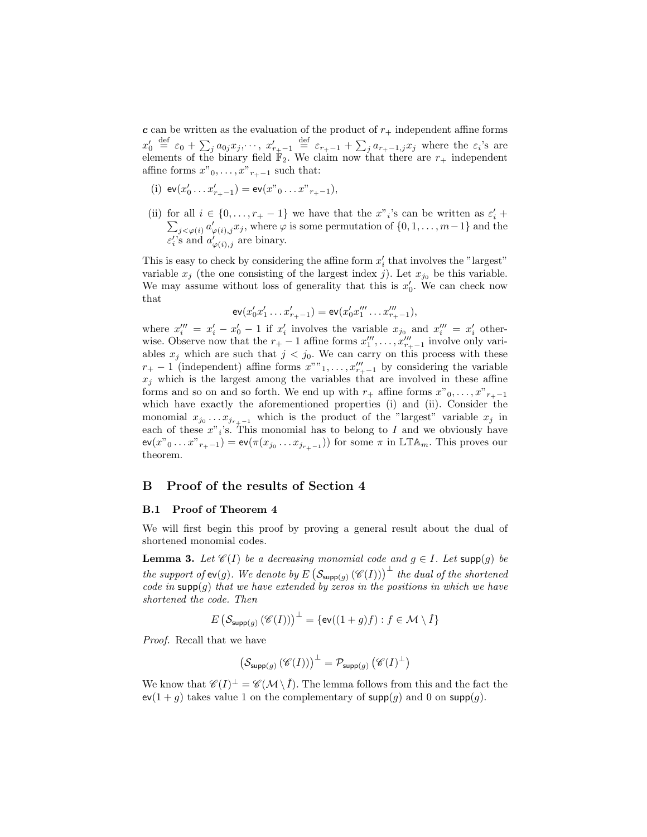c can be written as the evaluation of the product of  $r_{+}$  independent affine forms  $x'_0 \stackrel{\text{def}}{=} \varepsilon_0 + \sum_j a_{0j} x_j, \cdots, x'_{r_+-1} \stackrel{\text{def}}{=} \varepsilon_{r_+-1} + \sum_j a_{r_+-1,j} x_j$  where the  $\varepsilon_i$ 's are elements of the binary field  $\mathbb{F}_2$ . We claim now that there are  $r_+$  independent affine forms  $x_{0}^{n}, \ldots, x_{r_{+}-1}^{n}$  such that:

- (i)  $ev(x'_0 \dots x'_{r_+-1}) = ev(x''_0 \dots x''_{r_+-1}),$
- (ii) for all  $i \in \{0, \ldots, r_{+} 1\}$  we have that the  $x^{\nu}$ <sub>i</sub>'s can be written as  $\varepsilon'_{i}$  +  $\sum_{j < \varphi(i)} a'_{\varphi(i),j} x_j$ , where  $\varphi$  is some permutation of  $\{0, 1, \ldots, m-1\}$  and the  $\varepsilon_i'$ 's and  $a'_{\varphi(i),j}$  are binary.

This is easy to check by considering the affine form  $x_i'$  that involves the "largest" variable  $x_j$  (the one consisting of the largest index j). Let  $x_{j_0}$  be this variable. We may assume without loss of generality that this is  $x'_0$ . We can check now that

$$
\mathsf{ev}(x_0'x_1' \ldots x_{r_+-1}') = \mathsf{ev}(x_0'x_1''' \ldots x_{r_+-1}'''),
$$

where  $x_i''' = x_i' - x_0' - 1$  if  $x_i'$  involves the variable  $x_{j_0}$  and  $x_i''' = x_i'$  otherwise. Observe now that the  $r_{+} - 1$  affine forms  $x_1'''', \ldots, x_{r_{+}-1}'''$  involve only variables  $x_j$  which are such that  $j < j_0$ . We can carry on this process with these  $r_{+}$  – 1 (independent) affine forms  $x^{m}$ <sub>1</sub>, ...,  $x_{r_{+}-1}^{'''}$  by considering the variable  $x_j$  which is the largest among the variables that are involved in these affine forms and so on and so forth. We end up with  $r_+$  affine forms  $x''_0, \ldots, x''_{r_+-1}$ which have exactly the aforementioned properties (i) and (ii). Consider the monomial  $x_{j_0} \dots x_{j_{r_+ - 1}}$  which is the product of the "largest" variable  $x_j$  in each of these  $x^{\prime\prime}$  is. This monomial has to belong to I and we obviously have  $ev(x_{0}^{n}...x_{r_{+}-1}) = ev(\pi(x_{j_{0}}...x_{j_{r_{+}-1}}))$  for some  $\pi$  in  $\mathbb{LTA}_{m}$ . This proves our theorem.

## B Proof of the results of Section 4

#### B.1 Proof of Theorem 4

We will first begin this proof by proving a general result about the dual of shortened monomial codes.

**Lemma 3.** Let  $\mathcal{C}(I)$  be a decreasing monomial code and  $g \in I$ . Let supp(g) be the support of  $ev(g)$ . We denote by  $E\left(\mathcal{S}_{supp(g)}(\mathscr{C}(I))\right)^{\perp}$  the dual of the shortened code in supp $(g)$  that we have extended by zeros in the positions in which we have shortened the code. Then

$$
E\left(\mathcal{S}_{\text{supp}(g)}\left(\mathscr{C}(I)\right)\right)^\perp = \{\text{ev}((1+g)f) : f \in \mathcal{M} \setminus \check{I}\}
$$

Proof. Recall that we have

$$
\left(\mathcal{S}_{\text{supp}(g)}\left(\mathscr{C}(I)\right)\right)^\perp = \mathcal{P}_{\text{supp}(g)}\left(\mathscr{C}(I)^\perp\right)
$$

We know that  $\mathscr{C}(I)^{\perp} = \mathscr{C}(\mathcal{M} \setminus I)$ . The lemma follows from this and the fact the  $ev(1 + g)$  takes value 1 on the complementary of  $supp(g)$  and 0 on  $supp(g)$ .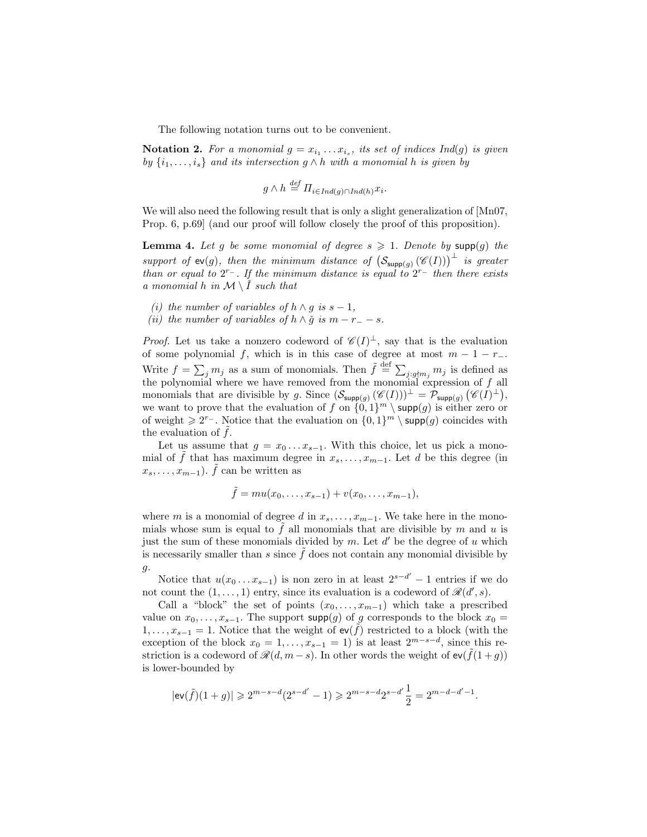The following notation turns out to be convenient.

**Notation 2.** For a monomial  $g = x_{i_1} \ldots x_{i_s}$ , its set of indices  $Ind(g)$  is given by  $\{i_1, \ldots, i_s\}$  and its intersection  $g \wedge h$  with a monomial h is given by

$$
g \wedge h \stackrel{def}{=} \Pi_{i \in Ind(g) \cap Ind(h)} x_i.
$$

We will also need the following result that is only a slight generalization of  $[Mn07,$ Prop. 6, p.69] (and our proof will follow closely the proof of this proposition).

**Lemma 4.** Let g be some monomial of degree  $s \geq 1$ . Denote by supp(g) the support of  $ev(g)$ , then the minimum distance of  $(S_{supp(g)}(\mathscr{C}(I)))^{\perp}$  is greater than or equal to  $2<sup>r</sup>$ . If the minimum distance is equal to  $2<sup>r</sup>$  then there exists a monomial h in  $\mathcal{M} \setminus \check{I}$  such that

- (i) the number of variables of  $h \wedge g$  is  $s 1$ ,
- (ii) the number of variables of  $h \wedge \check{g}$  is  $m r_- s$ .

*Proof.* Let us take a nonzero codeword of  $\mathcal{C}(I)^{\perp}$ , say that is the evaluation of some polynomial f, which is in this case of degree at most  $m - 1 - r_-\$ . Write  $f = \sum_j m_j$  as a sum of monomials. Then  $\tilde{f} \stackrel{\text{def}}{=} \sum_{j:g\nmid m_j} m_j$  is defined as the polynomial where we have removed from the monomial expression of f all monomials that are divisible by g. Since  $(\mathcal{S}_{\text{supp}(g)}(\mathscr{C}(I)))^{\perp} = \mathcal{P}_{\text{supp}(g)}(\mathscr{C}(I)^{\perp}),$ we want to prove that the evaluation of f on  $\{0,1\}^m \setminus \text{supp}(g)$  is either zero or of weight  $\geq 2^{r-1}$ . Notice that the evaluation on  $\{0, 1\}^m \setminus \text{supp}(g)$  coincides with the evaluation of  $f$ .

Let us assume that  $g = x_0 \dots x_{s-1}$ . With this choice, let us pick a monomial of f that has maximum degree in  $x_s, \ldots, x_{m-1}$ . Let d be this degree (in  $x_s, \ldots, x_{m-1}$ ).  $\tilde{f}$  can be written as

$$
\tilde{f} = mu(x_0, \dots, x_{s-1}) + v(x_0, \dots, x_{m-1}),
$$

where m is a monomial of degree d in  $x_s, \ldots, x_{m-1}$ . We take here in the monomials whose sum is equal to  $f$  all monomials that are divisible by  $m$  and  $u$  is just the sum of these monomials divided by  $m$ . Let  $d'$  be the degree of  $u$  which is necessarily smaller than  $s$  since  $f$  does not contain any monomial divisible by g.

Notice that  $u(x_0 \ldots x_{s-1})$  is non zero in at least  $2^{s-d'} - 1$  entries if we do not count the  $(1, \ldots, 1)$  entry, since its evaluation is a codeword of  $\mathcal{R}(d', s)$ .

Call a "block" the set of points  $(x_0, \ldots, x_{m-1})$  which take a prescribed value on  $x_0, \ldots, x_{s-1}$ . The support supp(q) of g corresponds to the block  $x_0 =$  $1, \ldots, x_{s-1} = 1$ . Notice that the weight of  $ev(\tilde{f})$  restricted to a block (with the exception of the block  $x_0 = 1, \ldots, x_{s-1} = 1$ ) is at least  $2^{m-s-d}$ , since this restriction is a codeword of  $\mathcal{R}(d, m - s)$ . In other words the weight of  $ev(\tilde{f}(1 + g))$ is lower-bounded by

$$
|\mathrm{ev}(\tilde{f})(1+g)|\geqslant 2^{m-s-d}(2^{s-d'}-1)\geqslant 2^{m-s-d}2^{s-d'}\frac{1}{2}=2^{m-d-d'-1}.
$$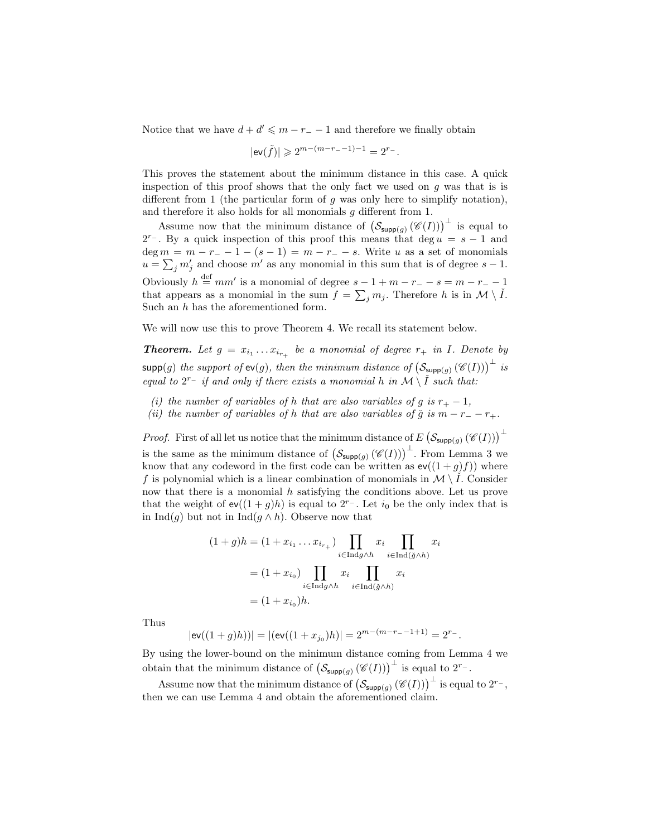Notice that we have  $d + d' \leq m - r - 1$  and therefore we finally obtain

$$
|\mathrm{ev}(\tilde{f})| \geq 2^{m - (m - r_- - 1) - 1} = 2^{r_-}.
$$

This proves the statement about the minimum distance in this case. A quick inspection of this proof shows that the only fact we used on  $g$  was that is is different from 1 (the particular form of  $q$  was only here to simplify notation), and therefore it also holds for all monomials g different from 1.

Assume now that the minimum distance of  $(S_{\text{supp}(g)}(\mathscr{C}(I)))^{\perp}$  is equal to  $2^{r}$ . By a quick inspection of this proof this means that deg  $u = s - 1$  and  $deg m = m - r - 1 - (s - 1) = m - r - s$ . Write u as a set of monomials  $u = \sum_j m'_j$  and choose m' as any monomial in this sum that is of degree  $s - 1$ . Obviously  $h \stackrel{\text{def}}{=} mm'$  is a monomial of degree  $s - 1 + m - r - s = m - r - 1$ that appears as a monomial in the sum  $\tilde{f} = \sum_j m_j$ . Therefore h is in  $\mathcal{M} \setminus \check{I}$ . Such an h has the aforementioned form.

We will now use this to prove Theorem 4. We recall its statement below.

**Theorem.** Let  $g = x_{i_1} \ldots x_{i_{r_+}}$  be a monomial of degree  $r_+$  in I. Denote by  $\mathsf{supp}(g)$  the support of  $\mathsf{ev}(g)$ , then the minimum distance of  $\bigl(\mathcal{S}_{\mathsf{supp}(g)}\left(\mathscr{C}(I)\right)\bigr)^\perp$  is equal to  $2^{r-1}$  if and only if there exists a monomial h in  $\mathcal{M} \setminus I$  such that:

- (i) the number of variables of h that are also variables of g is  $r_{+} 1$ ,
- (ii) the number of variables of h that are also variables of  $\check{g}$  is  $m r_- r_+$ .

*Proof.* First of all let us notice that the minimum distance of  $E(S_{\text{supp}(g)}(\mathscr{C}(I)))^{\perp}$ is the same as the minimum distance of  $(\mathcal{S}_{\text{supp}(g)} (\mathscr{C}(I)))^{\perp}$ . From Lemma 3 we know that any codeword in the first code can be written as  $ev((1+g)f)$ ) where f is polynomial which is a linear combination of monomials in  $\mathcal{M} \setminus I$ . Consider now that there is a monomial  $h$  satisfying the conditions above. Let us prove that the weight of  $ev((1 + g)h)$  is equal to  $2<sup>r</sup>$ . Let  $i<sub>0</sub>$  be the only index that is in Ind(g) but not in Ind(g  $\wedge h$ ). Observe now that

$$
(1+g)h = (1+x_{i_1}\dots x_{i_{r_+}})\prod_{i\in \text{Indg}\wedge h} x_i \prod_{i\in \text{Ind}(\check{g}\wedge h)} x_i
$$

$$
= (1+x_{i_0})\prod_{i\in \text{Ind}g\wedge h} x_i \prod_{i\in \text{Ind}(\check{g}\wedge h)} x_i
$$

$$
= (1+x_{i_0})h.
$$

Thus

$$
|\mathrm{ev}((1+g)h))|=|(\mathrm{ev}((1+x_{j_0})h)|=2^{m-(m-r_--1+1)}=2^{r_-}.
$$

By using the lower-bound on the minimum distance coming from Lemma 4 we obtain that the minimum distance of  $(S_{\text{supp}(g)} (\mathscr{C}(I)))^{\perp}$  is equal to  $2^{r}$ .

Assume now that the minimum distance of  $(\mathcal{S}_{\text{supp}(g)} (\mathscr{C}(I)))^{\perp}$  is equal to  $2^{r_{-}},$ then we can use Lemma 4 and obtain the aforementioned claim.